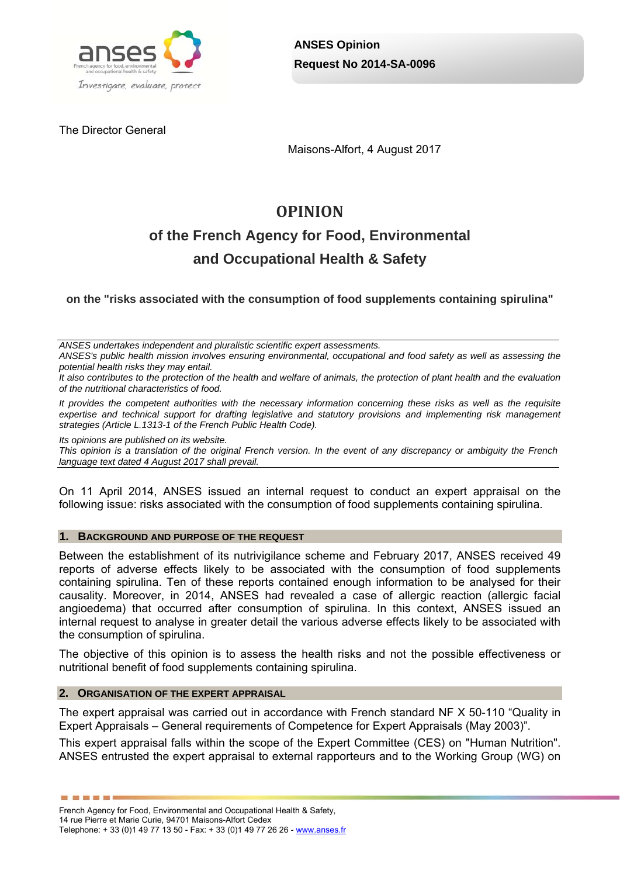

The Director General

Maisons-Alfort, 4 August 2017

# **OPINION**

# **of the French Agency for Food, Environmental and Occupational Health & Safety**

**on the "risks associated with the consumption of food supplements containing spirulina"** 

*ANSES undertakes independent and pluralistic scientific expert assessments.* 

*ANSES's public health mission involves ensuring environmental, occupational and food safety as well as assessing the potential health risks they may entail.* 

*It also contributes to the protection of the health and welfare of animals, the protection of plant health and the evaluation of the nutritional characteristics of food.* 

*It provides the competent authorities with the necessary information concerning these risks as well as the requisite expertise and technical support for drafting legislative and statutory provisions and implementing risk management strategies (Article L.1313-1 of the French Public Health Code).* 

*Its opinions are published on its website.* 

*This opinion is a translation of the original French version. In the event of any discrepancy or ambiguity the French language text dated 4 August 2017 shall prevail.*

On 11 April 2014, ANSES issued an internal request to conduct an expert appraisal on the following issue: risks associated with the consumption of food supplements containing spirulina.

#### **1. BACKGROUND AND PURPOSE OF THE REQUEST**

Between the establishment of its nutrivigilance scheme and February 2017, ANSES received 49 reports of adverse effects likely to be associated with the consumption of food supplements containing spirulina. Ten of these reports contained enough information to be analysed for their causality. Moreover, in 2014, ANSES had revealed a case of allergic reaction (allergic facial angioedema) that occurred after consumption of spirulina. In this context, ANSES issued an internal request to analyse in greater detail the various adverse effects likely to be associated with the consumption of spirulina.

The objective of this opinion is to assess the health risks and not the possible effectiveness or nutritional benefit of food supplements containing spirulina.

#### **2. ORGANISATION OF THE EXPERT APPRAISAL**

---------

The expert appraisal was carried out in accordance with French standard NF X 50-110 "Quality in Expert Appraisals – General requirements of Competence for Expert Appraisals (May 2003)".

This expert appraisal falls within the scope of the Expert Committee (CES) on "Human Nutrition". ANSES entrusted the expert appraisal to external rapporteurs and to the Working Group (WG) on

French Agency for Food, Environmental and Occupational Health & Safety, 14 rue Pierre et Marie Curie, 94701 Maisons-Alfort Cedex

Telephone: + 33 (0)1 49 77 13 50 - Fax: + 33 (0)1 49 77 26 26 - www.anses.fr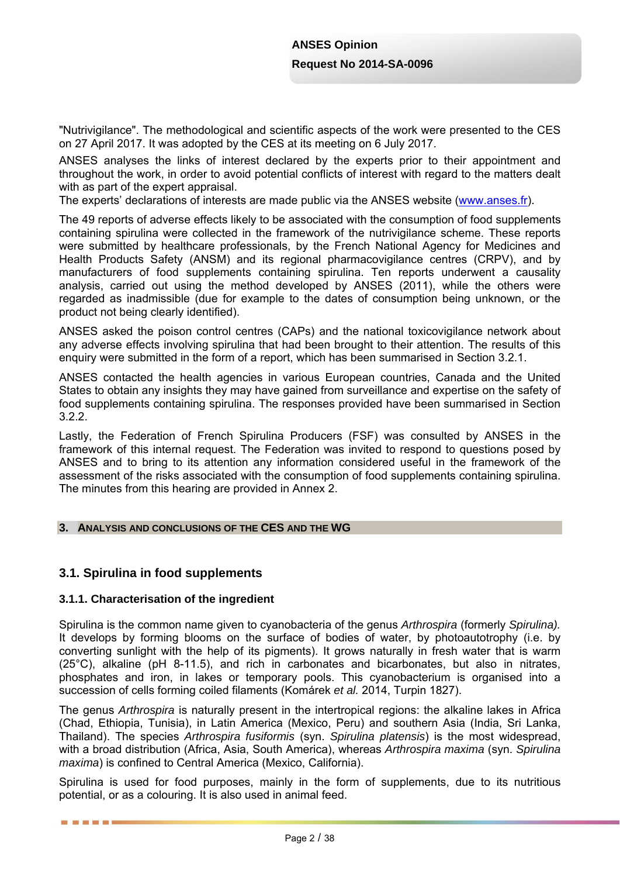"Nutrivigilance". The methodological and scientific aspects of the work were presented to the CES on 27 April 2017. It was adopted by the CES at its meeting on 6 July 2017.

ANSES analyses the links of interest declared by the experts prior to their appointment and throughout the work, in order to avoid potential conflicts of interest with regard to the matters dealt with as part of the expert appraisal.

The experts' declarations of interests are made public via the ANSES website (www.anses.fr).

The 49 reports of adverse effects likely to be associated with the consumption of food supplements containing spirulina were collected in the framework of the nutrivigilance scheme. These reports were submitted by healthcare professionals, by the French National Agency for Medicines and Health Products Safety (ANSM) and its regional pharmacovigilance centres (CRPV), and by manufacturers of food supplements containing spirulina. Ten reports underwent a causality analysis, carried out using the method developed by ANSES (2011), while the others were regarded as inadmissible (due for example to the dates of consumption being unknown, or the product not being clearly identified).

ANSES asked the poison control centres (CAPs) and the national toxicovigilance network about any adverse effects involving spirulina that had been brought to their attention. The results of this enquiry were submitted in the form of a report, which has been summarised in Section 3.2.1.

ANSES contacted the health agencies in various European countries, Canada and the United States to obtain any insights they may have gained from surveillance and expertise on the safety of food supplements containing spirulina. The responses provided have been summarised in Section 3.2.2.

Lastly, the Federation of French Spirulina Producers (FSF) was consulted by ANSES in the framework of this internal request. The Federation was invited to respond to questions posed by ANSES and to bring to its attention any information considered useful in the framework of the assessment of the risks associated with the consumption of food supplements containing spirulina. The minutes from this hearing are provided in Annex 2.

### **3. ANALYSIS AND CONCLUSIONS OF THE CES AND THE WG**

## **3.1. Spirulina in food supplements**

■ ■ ■ ■ ■ ■

### **3.1.1. Characterisation of the ingredient**

Spirulina is the common name given to cyanobacteria of the genus *Arthrospira* (formerly *Spirulina).* It develops by forming blooms on the surface of bodies of water, by photoautotrophy (i.e. by converting sunlight with the help of its pigments). It grows naturally in fresh water that is warm (25°C), alkaline (pH 8-11.5), and rich in carbonates and bicarbonates, but also in nitrates, phosphates and iron, in lakes or temporary pools. This cyanobacterium is organised into a succession of cells forming coiled filaments (Komárek *et al.* 2014, Turpin 1827).

The genus *Arthrospira* is naturally present in the intertropical regions: the alkaline lakes in Africa (Chad, Ethiopia, Tunisia), in Latin America (Mexico, Peru) and southern Asia (India, Sri Lanka, Thailand). The species *Arthrospira fusiformis* (syn. *Spirulina platensis*) is the most widespread, with a broad distribution (Africa, Asia, South America), whereas *Arthrospira maxima* (syn. *Spirulina maxima*) is confined to Central America (Mexico, California).

Spirulina is used for food purposes, mainly in the form of supplements, due to its nutritious potential, or as a colouring. It is also used in animal feed.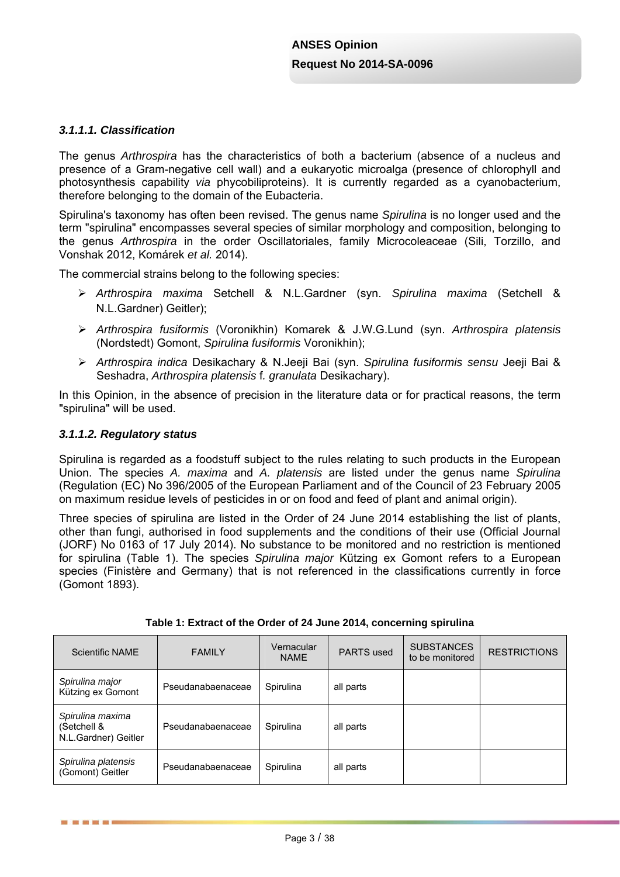## *3.1.1.1. Classification*

The genus *Arthrospira* has the characteristics of both a bacterium (absence of a nucleus and presence of a Gram-negative cell wall) and a eukaryotic microalga (presence of chlorophyll and photosynthesis capability *via* phycobiliproteins). It is currently regarded as a cyanobacterium, therefore belonging to the domain of the Eubacteria.

Spirulina's taxonomy has often been revised. The genus name *Spirulina* is no longer used and the term "spirulina" encompasses several species of similar morphology and composition, belonging to the genus *Arthrospira* in the order Oscillatoriales, family Microcoleaceae (Sili, Torzillo, and Vonshak 2012, Komárek *et al.* 2014).

The commercial strains belong to the following species:

- *Arthrospira maxima* Setchell & N.L.Gardner (syn. *Spirulina maxima* (Setchell & N.L.Gardner) Geitler);
- *Arthrospira fusiformis* (Voronikhin) Komarek & J.W.G.Lund (syn. *Arthrospira platensis* (Nordstedt) Gomont, *Spirulina fusiformis* Voronikhin);
- *Arthrospira indica* Desikachary & N.Jeeji Bai (syn. *Spirulina fusiformis sensu* Jeeji Bai & Seshadra, *Arthrospira platensis* f*. granulata* Desikachary).

In this Opinion, in the absence of precision in the literature data or for practical reasons, the term "spirulina" will be used.

#### *3.1.1.2. Regulatory status*

------

Spirulina is regarded as a foodstuff subject to the rules relating to such products in the European Union. The species *A. maxima* and *A. platensis* are listed under the genus name *Spirulina* (Regulation (EC) No 396/2005 of the European Parliament and of the Council of 23 February 2005 on maximum residue levels of pesticides in or on food and feed of plant and animal origin).

Three species of spirulina are listed in the Order of 24 June 2014 establishing the list of plants, other than fungi, authorised in food supplements and the conditions of their use (Official Journal (JORF) No 0163 of 17 July 2014). No substance to be monitored and no restriction is mentioned for spirulina (Table 1). The species *Spirulina major* Kützing ex Gomont refers to a European species (Finistère and Germany) that is not referenced in the classifications currently in force (Gomont 1893).

| Scientific NAME                                         | <b>FAMILY</b>     | Vernacular<br><b>NAME</b> | <b>PARTS</b> used | <b>SUBSTANCES</b><br>to be monitored | <b>RESTRICTIONS</b> |
|---------------------------------------------------------|-------------------|---------------------------|-------------------|--------------------------------------|---------------------|
| Spirulina major<br>Kützing ex Gomont                    | Pseudanabaenaceae | Spirulina                 | all parts         |                                      |                     |
| Spirulina maxima<br>(Setchell &<br>N.L.Gardner) Geitler | Pseudanabaenaceae | Spirulina                 | all parts         |                                      |                     |
| Spirulina platensis<br>(Gomont) Geitler                 | Pseudanabaenaceae | Spirulina                 | all parts         |                                      |                     |

| Table 1: Extract of the Order of 24 June 2014, concerning spirulina |  |  |
|---------------------------------------------------------------------|--|--|
|                                                                     |  |  |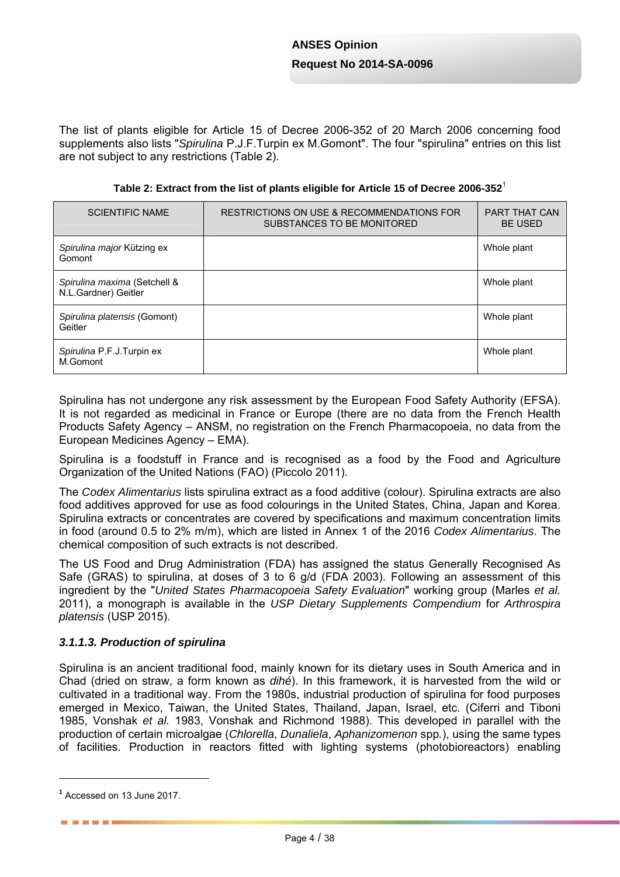The list of plants eligible for Article 15 of Decree 2006-352 of 20 March 2006 concerning food supplements also lists "*Spirulina* P.J.F.Turpin ex M.Gomont". The four "spirulina" entries on this list are not subject to any restrictions (Table 2).

| <b>SCIENTIFIC NAME</b>                               | RESTRICTIONS ON USE & RECOMMENDATIONS FOR<br>SUBSTANCES TO BE MONITORED | <b>PART THAT CAN</b><br><b>BE USED</b> |
|------------------------------------------------------|-------------------------------------------------------------------------|----------------------------------------|
| Spirulina major Kützing ex<br>Gomont                 |                                                                         | Whole plant                            |
| Spirulina maxima (Setchell &<br>N.L.Gardner) Geitler |                                                                         | Whole plant                            |
| Spirulina platensis (Gomont)<br>Geitler              |                                                                         | Whole plant                            |
| Spirulina P.F.J.Turpin ex<br>M.Gomont                |                                                                         | Whole plant                            |

Spirulina has not undergone any risk assessment by the European Food Safety Authority (EFSA). It is not regarded as medicinal in France or Europe (there are no data from the French Health Products Safety Agency – ANSM, no registration on the French Pharmacopoeia, no data from the European Medicines Agency – EMA).

Spirulina is a foodstuff in France and is recognised as a food by the Food and Agriculture Organization of the United Nations (FAO) (Piccolo 2011).

The *Codex Alimentarius* lists spirulina extract as a food additive (colour). Spirulina extracts are also food additives approved for use as food colourings in the United States, China, Japan and Korea. Spirulina extracts or concentrates are covered by specifications and maximum concentration limits in food (around 0.5 to 2% m/m), which are listed in Annex 1 of the 2016 *Codex Alimentarius*. The chemical composition of such extracts is not described.

The US Food and Drug Administration (FDA) has assigned the status Generally Recognised As Safe (GRAS) to spirulina, at doses of 3 to 6 g/d (FDA 2003). Following an assessment of this ingredient by the "*United States Pharmacopoeia Safety Evaluation*" working group (Marles *et al.* 2011), a monograph is available in the *USP Dietary Supplements Compendium* for *Arthrospira platensis* (USP 2015).

### *3.1.1.3. Production of spirulina*

Spirulina is an ancient traditional food, mainly known for its dietary uses in South America and in Chad (dried on straw, a form known as *dihé*). In this framework, it is harvested from the wild or cultivated in a traditional way. From the 1980s, industrial production of spirulina for food purposes emerged in Mexico, Taiwan, the United States, Thailand, Japan, Israel, etc. (Ciferri and Tiboni 1985, Vonshak *et al.* 1983, Vonshak and Richmond 1988). This developed in parallel with the production of certain microalgae (*Chlorella*, *Dunaliela*, *Aphanizomenon* spp*.*), using the same types of facilities. Production in reactors fitted with lighting systems (photobioreactors) enabling

**<sup>1</sup>** Accessed on 13 June 2017.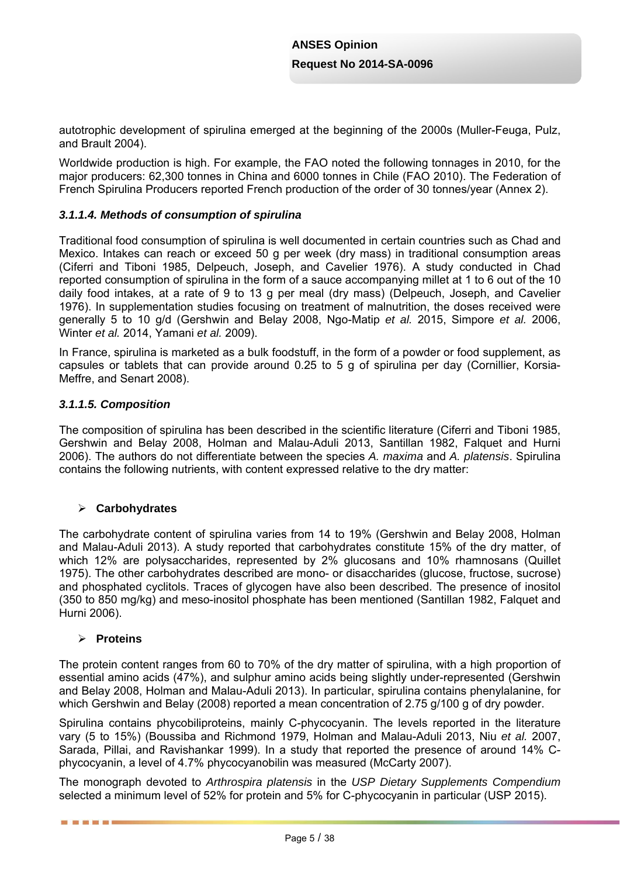autotrophic development of spirulina emerged at the beginning of the 2000s (Muller-Feuga, Pulz, and Brault 2004).

Worldwide production is high. For example, the FAO noted the following tonnages in 2010, for the major producers: 62,300 tonnes in China and 6000 tonnes in Chile (FAO 2010). The Federation of French Spirulina Producers reported French production of the order of 30 tonnes/year (Annex 2).

#### *3.1.1.4. Methods of consumption of spirulina*

Traditional food consumption of spirulina is well documented in certain countries such as Chad and Mexico. Intakes can reach or exceed 50 g per week (dry mass) in traditional consumption areas (Ciferri and Tiboni 1985, Delpeuch, Joseph, and Cavelier 1976). A study conducted in Chad reported consumption of spirulina in the form of a sauce accompanying millet at 1 to 6 out of the 10 daily food intakes, at a rate of 9 to 13 g per meal (dry mass) (Delpeuch, Joseph, and Cavelier 1976). In supplementation studies focusing on treatment of malnutrition, the doses received were generally 5 to 10 g/d (Gershwin and Belay 2008, Ngo-Matip *et al.* 2015, Simpore *et al.* 2006, Winter *et al.* 2014, Yamani *et al.* 2009).

In France, spirulina is marketed as a bulk foodstuff, in the form of a powder or food supplement, as capsules or tablets that can provide around 0.25 to 5 g of spirulina per day (Cornillier, Korsia-Meffre, and Senart 2008).

#### *3.1.1.5. Composition*

The composition of spirulina has been described in the scientific literature (Ciferri and Tiboni 1985, Gershwin and Belay 2008, Holman and Malau-Aduli 2013, Santillan 1982, Falquet and Hurni 2006). The authors do not differentiate between the species *A. maxima* and *A. platensis*. Spirulina contains the following nutrients, with content expressed relative to the dry matter:

#### **Carbohydrates**

The carbohydrate content of spirulina varies from 14 to 19% (Gershwin and Belay 2008, Holman and Malau-Aduli 2013). A study reported that carbohydrates constitute 15% of the dry matter, of which 12% are polysaccharides, represented by 2% glucosans and 10% rhamnosans (Quillet 1975). The other carbohydrates described are mono- or disaccharides (glucose, fructose, sucrose) and phosphated cyclitols. Traces of glycogen have also been described. The presence of inositol (350 to 850 mg/kg) and meso-inositol phosphate has been mentioned (Santillan 1982, Falquet and Hurni 2006).

#### **Proteins**

■ ■ ■ ■ ■ ■

The protein content ranges from 60 to 70% of the dry matter of spirulina, with a high proportion of essential amino acids (47%), and sulphur amino acids being slightly under-represented (Gershwin and Belay 2008, Holman and Malau-Aduli 2013). In particular, spirulina contains phenylalanine, for which Gershwin and Belay (2008) reported a mean concentration of 2.75 g/100 g of dry powder.

Spirulina contains phycobiliproteins, mainly C-phycocyanin. The levels reported in the literature vary (5 to 15%) (Boussiba and Richmond 1979, Holman and Malau-Aduli 2013, Niu *et al.* 2007, Sarada, Pillai, and Ravishankar 1999). In a study that reported the presence of around 14% Cphycocyanin, a level of 4.7% phycocyanobilin was measured (McCarty 2007).

The monograph devoted to *Arthrospira platensis* in the *USP Dietary Supplements Compendium* selected a minimum level of 52% for protein and 5% for C-phycocyanin in particular (USP 2015).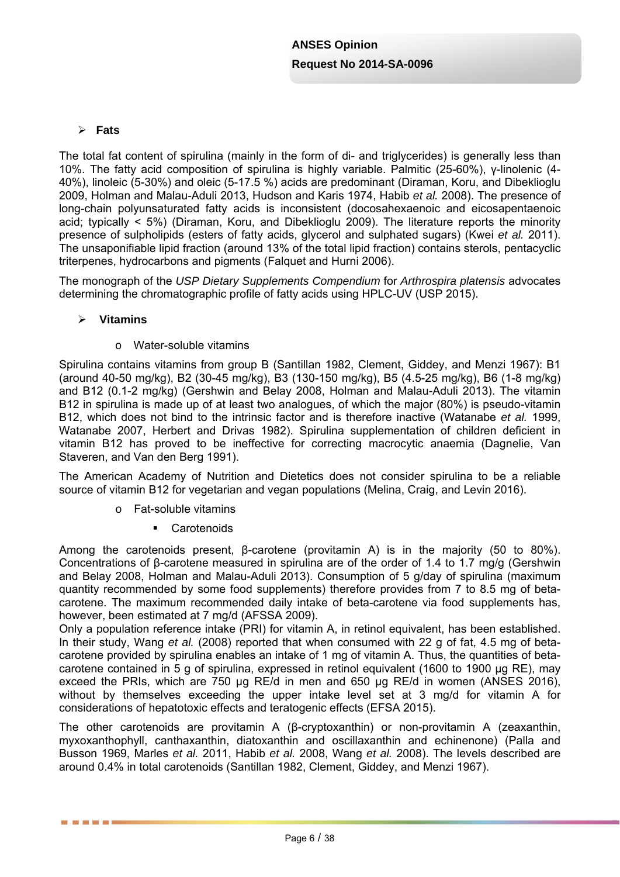### **Fats**

The total fat content of spirulina (mainly in the form of di- and triglycerides) is generally less than 10%. The fatty acid composition of spirulina is highly variable. Palmitic (25-60%), γ-linolenic (4- 40%), linoleic (5-30%) and oleic (5-17.5 %) acids are predominant (Diraman, Koru, and Dibeklioglu 2009, Holman and Malau-Aduli 2013, Hudson and Karis 1974, Habib *et al.* 2008). The presence of long-chain polyunsaturated fatty acids is inconsistent (docosahexaenoic and eicosapentaenoic acid; typically < 5%) (Diraman, Koru, and Dibeklioglu 2009). The literature reports the minority presence of sulpholipids (esters of fatty acids, glycerol and sulphated sugars) (Kwei *et al.* 2011). The unsaponifiable lipid fraction (around 13% of the total lipid fraction) contains sterols, pentacyclic triterpenes, hydrocarbons and pigments (Falquet and Hurni 2006).

The monograph of the *USP Dietary Supplements Compendium* for *Arthrospira platensis* advocates determining the chromatographic profile of fatty acids using HPLC-UV (USP 2015).

### **Vitamins**

------

### o Water-soluble vitamins

Spirulina contains vitamins from group B (Santillan 1982, Clement, Giddey, and Menzi 1967): B1 (around 40-50 mg/kg), B2 (30-45 mg/kg), B3 (130-150 mg/kg), B5 (4.5-25 mg/kg), B6 (1-8 mg/kg) and B12 (0.1-2 mg/kg) (Gershwin and Belay 2008, Holman and Malau-Aduli 2013). The vitamin B12 in spirulina is made up of at least two analogues, of which the major (80%) is pseudo-vitamin B12, which does not bind to the intrinsic factor and is therefore inactive (Watanabe *et al.* 1999, Watanabe 2007, Herbert and Drivas 1982). Spirulina supplementation of children deficient in vitamin B12 has proved to be ineffective for correcting macrocytic anaemia (Dagnelie, Van Staveren, and Van den Berg 1991).

The American Academy of Nutrition and Dietetics does not consider spirulina to be a reliable source of vitamin B12 for vegetarian and vegan populations (Melina, Craig, and Levin 2016).

- o Fat-soluble vitamins
	- **Carotenoids**

Among the carotenoids present, β-carotene (provitamin A) is in the majority (50 to 80%). Concentrations of β-carotene measured in spirulina are of the order of 1.4 to 1.7 mg/g (Gershwin and Belay 2008, Holman and Malau-Aduli 2013). Consumption of 5 g/day of spirulina (maximum quantity recommended by some food supplements) therefore provides from 7 to 8.5 mg of betacarotene. The maximum recommended daily intake of beta-carotene via food supplements has, however, been estimated at 7 mg/d (AFSSA 2009).

Only a population reference intake (PRI) for vitamin A, in retinol equivalent, has been established. In their study, Wang *et al.* (2008) reported that when consumed with 22 g of fat, 4.5 mg of betacarotene provided by spirulina enables an intake of 1 mg of vitamin A. Thus, the quantities of betacarotene contained in 5 g of spirulina, expressed in retinol equivalent (1600 to 1900 µg RE), may exceed the PRIs, which are 750 µg RE/d in men and 650 µg RE/d in women (ANSES 2016), without by themselves exceeding the upper intake level set at 3 mg/d for vitamin A for considerations of hepatotoxic effects and teratogenic effects (EFSA 2015).

The other carotenoids are provitamin A (β-cryptoxanthin) or non-provitamin A (zeaxanthin, myxoxanthophyll, canthaxanthin, diatoxanthin and oscillaxanthin and echinenone) (Palla and Busson 1969, Marles *et al.* 2011, Habib *et al.* 2008, Wang *et al.* 2008). The levels described are around 0.4% in total carotenoids (Santillan 1982, Clement, Giddey, and Menzi 1967).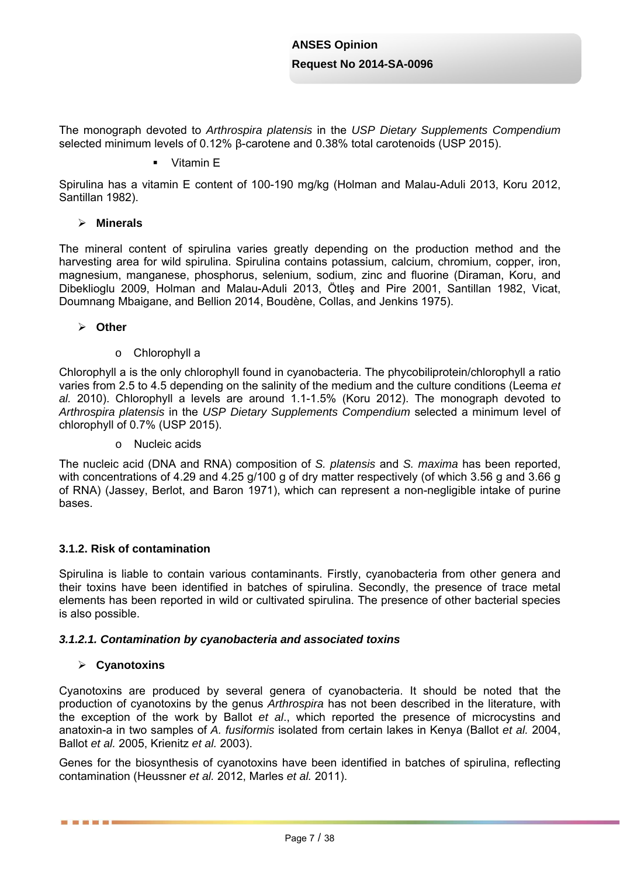The monograph devoted to *Arthrospira platensis* in the *USP Dietary Supplements Compendium* selected minimum levels of 0.12% β-carotene and 0.38% total carotenoids (USP 2015).

#### • Vitamin E

Spirulina has a vitamin E content of 100-190 mg/kg (Holman and Malau-Aduli 2013, Koru 2012, Santillan 1982).

#### **Minerals**

The mineral content of spirulina varies greatly depending on the production method and the harvesting area for wild spirulina. Spirulina contains potassium, calcium, chromium, copper, iron, magnesium, manganese, phosphorus, selenium, sodium, zinc and fluorine (Diraman, Koru, and Dibeklioglu 2009, Holman and Malau-Aduli 2013, Ötleş and Pire 2001, Santillan 1982, Vicat, Doumnang Mbaigane, and Bellion 2014, Boudène, Collas, and Jenkins 1975).

#### **Other**

o Chlorophyll a

Chlorophyll a is the only chlorophyll found in cyanobacteria. The phycobiliprotein/chlorophyll a ratio varies from 2.5 to 4.5 depending on the salinity of the medium and the culture conditions (Leema *et al.* 2010). Chlorophyll a levels are around 1.1-1.5% (Koru 2012). The monograph devoted to *Arthrospira platensis* in the *USP Dietary Supplements Compendium* selected a minimum level of chlorophyll of 0.7% (USP 2015).

o Nucleic acids

The nucleic acid (DNA and RNA) composition of *S. platensis* and *S. maxima* has been reported, with concentrations of 4.29 and 4.25 g/100 g of dry matter respectively (of which 3.56 g and 3.66 g of RNA) (Jassey, Berlot, and Baron 1971), which can represent a non-negligible intake of purine bases.

### **3.1.2. Risk of contamination**

Spirulina is liable to contain various contaminants. Firstly, cyanobacteria from other genera and their toxins have been identified in batches of spirulina. Secondly, the presence of trace metal elements has been reported in wild or cultivated spirulina. The presence of other bacterial species is also possible.

#### *3.1.2.1. Contamination by cyanobacteria and associated toxins*

### **Cyanotoxins**

------

Cyanotoxins are produced by several genera of cyanobacteria. It should be noted that the production of cyanotoxins by the genus *Arthrospira* has not been described in the literature, with the exception of the work by Ballot *et al*., which reported the presence of microcystins and anatoxin-a in two samples of *A. fusiformis* isolated from certain lakes in Kenya (Ballot *et al.* 2004, Ballot *et al.* 2005, Krienitz *et al.* 2003).

Genes for the biosynthesis of cyanotoxins have been identified in batches of spirulina, reflecting contamination (Heussner *et al.* 2012, Marles *et al.* 2011).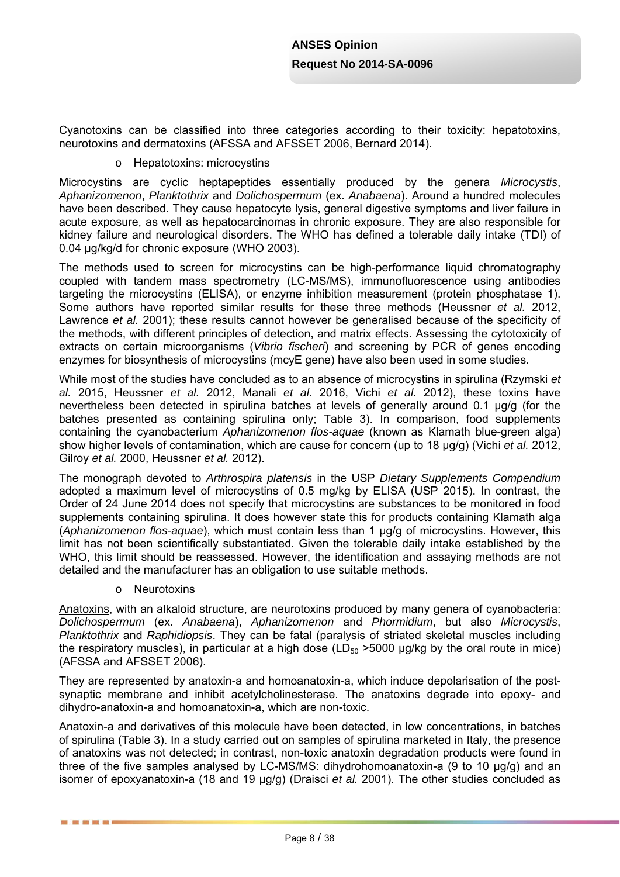Cyanotoxins can be classified into three categories according to their toxicity: hepatotoxins, neurotoxins and dermatoxins (AFSSA and AFSSET 2006, Bernard 2014).

#### o Hepatotoxins: microcystins

Microcystins are cyclic heptapeptides essentially produced by the genera *Microcystis*, *Aphanizomenon*, *Planktothrix* and *Dolichospermum* (ex. *Anabaena*). Around a hundred molecules have been described. They cause hepatocyte lysis, general digestive symptoms and liver failure in acute exposure, as well as hepatocarcinomas in chronic exposure. They are also responsible for kidney failure and neurological disorders. The WHO has defined a tolerable daily intake (TDI) of 0.04 µg/kg/d for chronic exposure (WHO 2003).

The methods used to screen for microcystins can be high-performance liquid chromatography coupled with tandem mass spectrometry (LC-MS/MS), immunofluorescence using antibodies targeting the microcystins (ELISA), or enzyme inhibition measurement (protein phosphatase 1). Some authors have reported similar results for these three methods (Heussner *et al.* 2012, Lawrence *et al.* 2001); these results cannot however be generalised because of the specificity of the methods, with different principles of detection, and matrix effects. Assessing the cytotoxicity of extracts on certain microorganisms (*Vibrio fischeri*) and screening by PCR of genes encoding enzymes for biosynthesis of microcystins (mcyE gene) have also been used in some studies.

While most of the studies have concluded as to an absence of microcystins in spirulina (Rzymski *et al.* 2015, Heussner *et al.* 2012, Manali *et al.* 2016, Vichi *et al.* 2012), these toxins have nevertheless been detected in spirulina batches at levels of generally around 0.1 µg/g (for the batches presented as containing spirulina only; Table 3). In comparison, food supplements containing the cyanobacterium *Aphanizomenon flos-aquae* (known as Klamath blue-green alga) show higher levels of contamination, which are cause for concern (up to 18 µg/g) (Vichi *et al.* 2012, Gilroy *et al.* 2000, Heussner *et al.* 2012).

The monograph devoted to *Arthrospira platensis* in the USP *Dietary Supplements Compendium* adopted a maximum level of microcystins of 0.5 mg/kg by ELISA (USP 2015). In contrast, the Order of 24 June 2014 does not specify that microcystins are substances to be monitored in food supplements containing spirulina. It does however state this for products containing Klamath alga (*Aphanizomenon flos-aquae*), which must contain less than 1 µg/g of microcystins. However, this limit has not been scientifically substantiated. Given the tolerable daily intake established by the WHO, this limit should be reassessed. However, the identification and assaying methods are not detailed and the manufacturer has an obligation to use suitable methods.

o Neurotoxins

------

Anatoxins, with an alkaloid structure, are neurotoxins produced by many genera of cyanobacteria: *Dolichospermum* (ex. *Anabaena*), *Aphanizomenon* and *Phormidium*, but also *Microcystis*, *Planktothrix* and *Raphidiopsis*. They can be fatal (paralysis of striated skeletal muscles including the respiratory muscles), in particular at a high dose (LD $_{50}$  >5000  $\mu$ g/kg by the oral route in mice) (AFSSA and AFSSET 2006).

They are represented by anatoxin-a and homoanatoxin-a, which induce depolarisation of the postsynaptic membrane and inhibit acetylcholinesterase. The anatoxins degrade into epoxy- and dihydro-anatoxin-a and homoanatoxin-a, which are non-toxic.

Anatoxin-a and derivatives of this molecule have been detected, in low concentrations, in batches of spirulina (Table 3). In a study carried out on samples of spirulina marketed in Italy, the presence of anatoxins was not detected; in contrast, non-toxic anatoxin degradation products were found in three of the five samples analysed by LC-MS/MS: dihydrohomoanatoxin-a (9 to 10 µg/g) and an isomer of epoxyanatoxin-a (18 and 19 µg/g) (Draisci *et al.* 2001). The other studies concluded as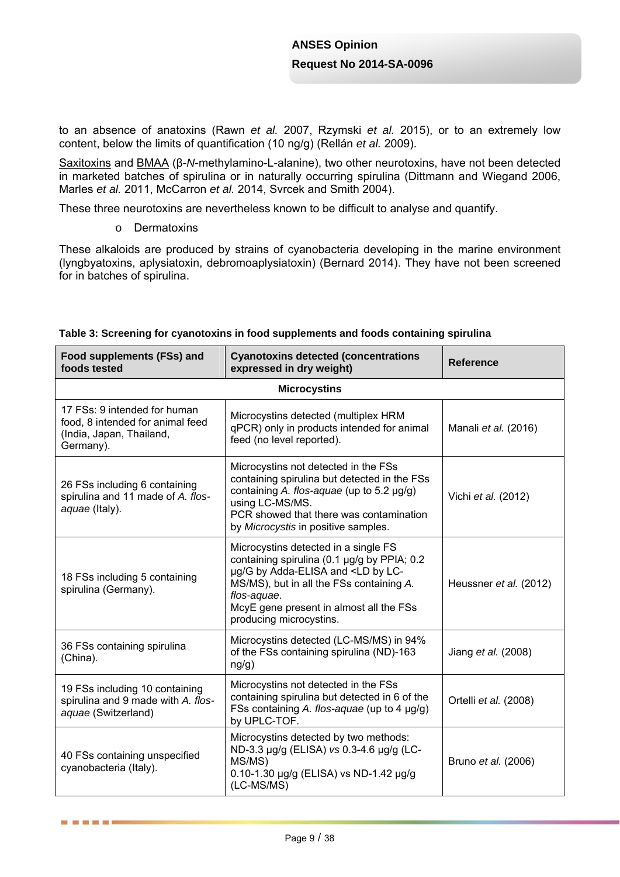to an absence of anatoxins (Rawn *et al.* 2007, Rzymski *et al.* 2015), or to an extremely low content, below the limits of quantification (10 ng/g) (Rellán *et al.* 2009).

Saxitoxins and BMAA (β-*N*-methylamino-L-alanine), two other neurotoxins, have not been detected in marketed batches of spirulina or in naturally occurring spirulina (Dittmann and Wiegand 2006, Marles *et al.* 2011, McCarron *et al.* 2014, Svrcek and Smith 2004).

These three neurotoxins are nevertheless known to be difficult to analyse and quantify.

o Dermatoxins

------

These alkaloids are produced by strains of cyanobacteria developing in the marine environment (lyngbyatoxins, aplysiatoxin, debromoaplysiatoxin) (Bernard 2014). They have not been screened for in batches of spirulina.

| Food supplements (FSs) and<br>foods tested                                                                | <b>Cyanotoxins detected (concentrations</b><br>expressed in dry weight)                                                                                                                                                                                                 | <b>Reference</b>       |  |  |  |  |
|-----------------------------------------------------------------------------------------------------------|-------------------------------------------------------------------------------------------------------------------------------------------------------------------------------------------------------------------------------------------------------------------------|------------------------|--|--|--|--|
| <b>Microcystins</b>                                                                                       |                                                                                                                                                                                                                                                                         |                        |  |  |  |  |
| 17 FSs: 9 intended for human<br>food, 8 intended for animal feed<br>(India, Japan, Thailand,<br>Germany). | Microcystins detected (multiplex HRM<br>qPCR) only in products intended for animal<br>feed (no level reported).                                                                                                                                                         | Manali et al. (2016)   |  |  |  |  |
| 26 FSs including 6 containing<br>spirulina and 11 made of A. flos-<br>aquae (Italy).                      | Microcystins not detected in the FSs<br>containing spirulina but detected in the FSs<br>containing A. flos-aquae (up to 5.2 µg/g)<br>using LC-MS/MS.<br>PCR showed that there was contamination<br>by Microcystis in positive samples.                                  | Vichi et al. (2012)    |  |  |  |  |
| 18 FSs including 5 containing<br>spirulina (Germany).                                                     | Microcystins detected in a single FS<br>containing spirulina (0.1 µg/g by PPIA; 0.2<br>µg/G by Adda-ELISA and <ld by="" lc-<br="">MS/MS), but in all the FSs containing A.<br/>flos-aquae.<br/>McyE gene present in almost all the FSs<br/>producing microcystins.</ld> | Heussner et al. (2012) |  |  |  |  |
| 36 FSs containing spirulina<br>(China).                                                                   | Microcystins detected (LC-MS/MS) in 94%<br>of the FSs containing spirulina (ND)-163<br>ng/g)                                                                                                                                                                            | Jiang et al. (2008)    |  |  |  |  |
| 19 FSs including 10 containing<br>spirulina and 9 made with A. flos-<br>aquae (Switzerland)               | Microcystins not detected in the FSs<br>containing spirulina but detected in 6 of the<br>FSs containing A. flos-aquae (up to 4 µg/g)<br>by UPLC-TOF.                                                                                                                    | Ortelli et al. (2008)  |  |  |  |  |
| 40 FSs containing unspecified<br>cyanobacteria (Italy).                                                   | Microcystins detected by two methods:<br>ND-3.3 µg/g (ELISA) vs 0.3-4.6 µg/g (LC-<br>MS/MS)<br>0.10-1.30 µg/g (ELISA) vs ND-1.42 µg/g<br>(LC-MS/MS)                                                                                                                     | Bruno et al. (2006)    |  |  |  |  |

#### **Table 3: Screening for cyanotoxins in food supplements and foods containing spirulina**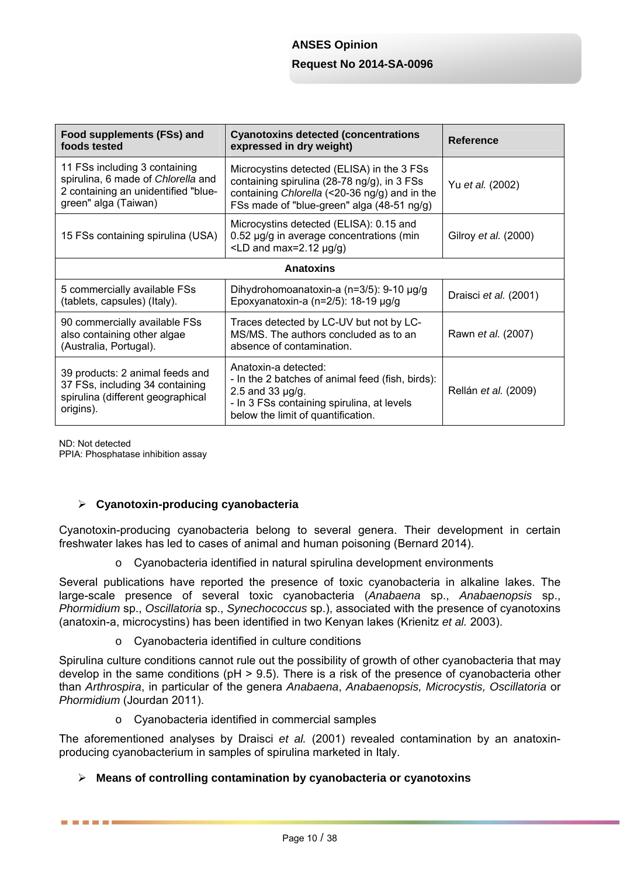| Food supplements (FSs) and<br>foods tested                                                                                         | <b>Cyanotoxins detected (concentrations</b><br>expressed in dry weight)                                                                                                                  | <b>Reference</b>      |  |  |  |  |
|------------------------------------------------------------------------------------------------------------------------------------|------------------------------------------------------------------------------------------------------------------------------------------------------------------------------------------|-----------------------|--|--|--|--|
| 11 FSs including 3 containing<br>spirulina, 6 made of Chlorella and<br>2 containing an unidentified "blue-<br>green" alga (Taiwan) | Microcystins detected (ELISA) in the 3 FSs<br>containing spirulina (28-78 ng/g), in 3 FSs<br>containing Chlorella (<20-36 ng/g) and in the<br>FSs made of "blue-green" alga (48-51 ng/g) | Yu et al. (2002)      |  |  |  |  |
| 15 FSs containing spirulina (USA)                                                                                                  | Microcystins detected (ELISA): 0.15 and<br>0.52 µg/g in average concentrations (min<br>$\angle$ LD and max=2.12 $\mu$ g/g)                                                               | Gilroy et al. (2000)  |  |  |  |  |
|                                                                                                                                    | <b>Anatoxins</b>                                                                                                                                                                         |                       |  |  |  |  |
| 5 commercially available FSs<br>(tablets, capsules) (Italy).                                                                       | Dihydrohomoanatoxin-a (n=3/5): 9-10 µg/g<br>Epoxyanatoxin-a (n= $2/5$ ): 18-19 µg/g                                                                                                      | Draisci et al. (2001) |  |  |  |  |
| 90 commercially available FSs<br>also containing other algae<br>(Australia, Portugal).                                             | Traces detected by LC-UV but not by LC-<br>MS/MS. The authors concluded as to an<br>absence of contamination.                                                                            | Rawn et al. (2007)    |  |  |  |  |
| 39 products: 2 animal feeds and<br>37 FSs, including 34 containing<br>spirulina (different geographical<br>origins).               | Anatoxin-a defected:<br>- In the 2 batches of animal feed (fish, birds):<br>2.5 and 33 $\mu$ g/g.<br>- In 3 FSs containing spirulina, at levels<br>below the limit of quantification.    | Rellán et al. (2009)  |  |  |  |  |

ND: Not detected

------

PPIA: Phosphatase inhibition assay

### **Cyanotoxin-producing cyanobacteria**

Cyanotoxin-producing cyanobacteria belong to several genera. Their development in certain freshwater lakes has led to cases of animal and human poisoning (Bernard 2014).

o Cyanobacteria identified in natural spirulina development environments

Several publications have reported the presence of toxic cyanobacteria in alkaline lakes. The large-scale presence of several toxic cyanobacteria (*Anabaena* sp., *Anabaenopsis* sp., *Phormidium* sp., *Oscillatoria* sp., *Synechococcus* sp.), associated with the presence of cyanotoxins (anatoxin-a, microcystins) has been identified in two Kenyan lakes (Krienitz *et al.* 2003).

o Cyanobacteria identified in culture conditions

Spirulina culture conditions cannot rule out the possibility of growth of other cyanobacteria that may develop in the same conditions (pH > 9.5). There is a risk of the presence of cyanobacteria other than *Arthrospira*, in particular of the genera *Anabaena*, *Anabaenopsis, Microcystis, Oscillatoria* or *Phormidium* (Jourdan 2011).

o Cyanobacteria identified in commercial samples

The aforementioned analyses by Draisci *et al.* (2001) revealed contamination by an anatoxinproducing cyanobacterium in samples of spirulina marketed in Italy.

### **Means of controlling contamination by cyanobacteria or cyanotoxins**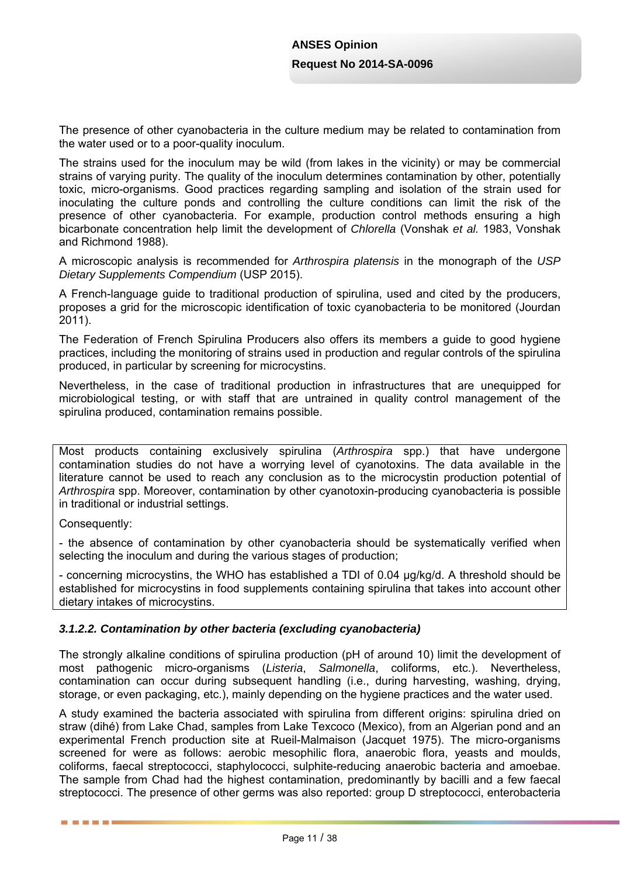The presence of other cyanobacteria in the culture medium may be related to contamination from the water used or to a poor-quality inoculum.

The strains used for the inoculum may be wild (from lakes in the vicinity) or may be commercial strains of varying purity. The quality of the inoculum determines contamination by other, potentially toxic, micro-organisms. Good practices regarding sampling and isolation of the strain used for inoculating the culture ponds and controlling the culture conditions can limit the risk of the presence of other cyanobacteria. For example, production control methods ensuring a high bicarbonate concentration help limit the development of *Chlorella* (Vonshak *et al.* 1983, Vonshak and Richmond 1988).

A microscopic analysis is recommended for *Arthrospira platensis* in the monograph of the *USP Dietary Supplements Compendium* (USP 2015).

A French-language guide to traditional production of spirulina, used and cited by the producers, proposes a grid for the microscopic identification of toxic cyanobacteria to be monitored (Jourdan 2011).

The Federation of French Spirulina Producers also offers its members a guide to good hygiene practices, including the monitoring of strains used in production and regular controls of the spirulina produced, in particular by screening for microcystins.

Nevertheless, in the case of traditional production in infrastructures that are unequipped for microbiological testing, or with staff that are untrained in quality control management of the spirulina produced, contamination remains possible.

Most products containing exclusively spirulina (*Arthrospira* spp.) that have undergone contamination studies do not have a worrying level of cyanotoxins. The data available in the literature cannot be used to reach any conclusion as to the microcystin production potential of *Arthrospira* spp. Moreover, contamination by other cyanotoxin-producing cyanobacteria is possible in traditional or industrial settings.

Consequently:

■ ■ ■ ■ ■ ■

- the absence of contamination by other cyanobacteria should be systematically verified when selecting the inoculum and during the various stages of production;

- concerning microcystins, the WHO has established a TDI of 0.04 µg/kg/d. A threshold should be established for microcystins in food supplements containing spirulina that takes into account other dietary intakes of microcystins.

### *3.1.2.2. Contamination by other bacteria (excluding cyanobacteria)*

The strongly alkaline conditions of spirulina production (pH of around 10) limit the development of most pathogenic micro-organisms (*Listeria*, *Salmonella*, coliforms, etc.). Nevertheless, contamination can occur during subsequent handling (i.e., during harvesting, washing, drying, storage, or even packaging, etc.), mainly depending on the hygiene practices and the water used.

A study examined the bacteria associated with spirulina from different origins: spirulina dried on straw (dihé) from Lake Chad, samples from Lake Texcoco (Mexico), from an Algerian pond and an experimental French production site at Rueil-Malmaison (Jacquet 1975). The micro-organisms screened for were as follows: aerobic mesophilic flora, anaerobic flora, yeasts and moulds, coliforms, faecal streptococci, staphylococci, sulphite-reducing anaerobic bacteria and amoebae. The sample from Chad had the highest contamination, predominantly by bacilli and a few faecal streptococci. The presence of other germs was also reported: group D streptococci, enterobacteria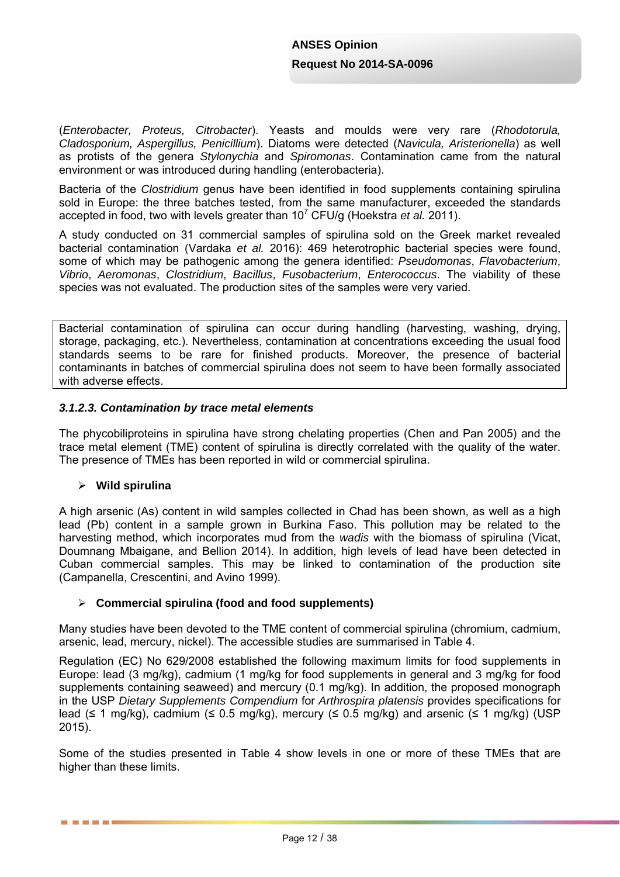(*Enterobacter, Proteus, Citrobacter*). Yeasts and moulds were very rare (*Rhodotorula, Cladosporium, Aspergillus, Penicillium*). Diatoms were detected (*Navicula, Aristerionella*) as well as protists of the genera *Stylonychia* and *Spiromonas*. Contamination came from the natural environment or was introduced during handling (enterobacteria).

Bacteria of the *Clostridium* genus have been identified in food supplements containing spirulina sold in Europe: the three batches tested, from the same manufacturer, exceeded the standards accepted in food, two with levels greater than 10<sup>7</sup> CFU/g (Hoekstra et al. 2011).

A study conducted on 31 commercial samples of spirulina sold on the Greek market revealed bacterial contamination (Vardaka *et al.* 2016): 469 heterotrophic bacterial species were found, some of which may be pathogenic among the genera identified: *Pseudomonas*, *Flavobacterium*, *Vibrio*, *Aeromonas*, *Clostridium*, *Bacillus*, *Fusobacterium*, *Enterococcus*. The viability of these species was not evaluated. The production sites of the samples were very varied.

Bacterial contamination of spirulina can occur during handling (harvesting, washing, drying, storage, packaging, etc.). Nevertheless, contamination at concentrations exceeding the usual food standards seems to be rare for finished products. Moreover, the presence of bacterial contaminants in batches of commercial spirulina does not seem to have been formally associated with adverse effects.

## *3.1.2.3. Contamination by trace metal elements*

The phycobiliproteins in spirulina have strong chelating properties (Chen and Pan 2005) and the trace metal element (TME) content of spirulina is directly correlated with the quality of the water. The presence of TMEs has been reported in wild or commercial spirulina.

### **Wild spirulina**

------

A high arsenic (As) content in wild samples collected in Chad has been shown, as well as a high lead (Pb) content in a sample grown in Burkina Faso. This pollution may be related to the harvesting method, which incorporates mud from the *wadis* with the biomass of spirulina (Vicat, Doumnang Mbaigane, and Bellion 2014). In addition, high levels of lead have been detected in Cuban commercial samples. This may be linked to contamination of the production site (Campanella, Crescentini, and Avino 1999).

### **Commercial spirulina (food and food supplements)**

Many studies have been devoted to the TME content of commercial spirulina (chromium, cadmium, arsenic, lead, mercury, nickel). The accessible studies are summarised in Table 4.

Regulation (EC) No 629/2008 established the following maximum limits for food supplements in Europe: lead (3 mg/kg), cadmium (1 mg/kg for food supplements in general and 3 mg/kg for food supplements containing seaweed) and mercury (0.1 mg/kg). In addition, the proposed monograph in the USP *Dietary Supplements Compendium* for *Arthrospira platensis* provides specifications for lead ( $\leq$  1 mg/kg), cadmium ( $\leq$  0.5 mg/kg), mercury ( $\leq$  0.5 mg/kg) and arsenic ( $\leq$  1 mg/kg) (USP 2015).

Some of the studies presented in Table 4 show levels in one or more of these TMEs that are higher than these limits.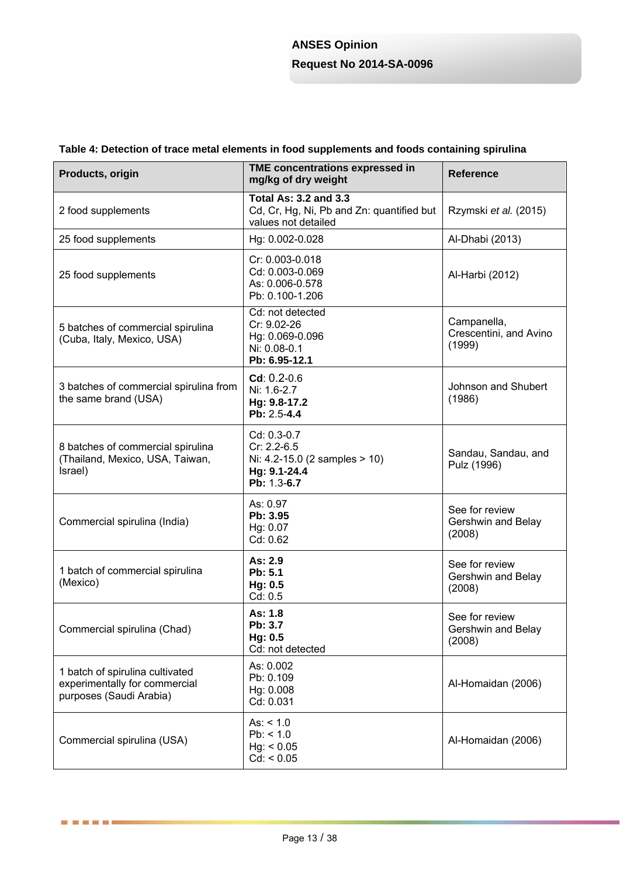## **Table 4: Detection of trace metal elements in food supplements and foods containing spirulina**

| Products, origin                                                                            | TME concentrations expressed in<br>mg/kg of dry weight                                            | <b>Reference</b>                                |  |
|---------------------------------------------------------------------------------------------|---------------------------------------------------------------------------------------------------|-------------------------------------------------|--|
| 2 food supplements                                                                          | <b>Total As: 3.2 and 3.3</b><br>Cd, Cr, Hg, Ni, Pb and Zn: quantified but<br>values not detailed  | Rzymski et al. (2015)                           |  |
| 25 food supplements                                                                         | Hg: 0.002-0.028                                                                                   | Al-Dhabi (2013)                                 |  |
| 25 food supplements                                                                         | Cr: 0.003-0.018<br>Cd: 0.003-0.069<br>As: 0.006-0.578<br>Pb: 0.100-1.206                          | Al-Harbi (2012)                                 |  |
| 5 batches of commercial spirulina<br>(Cuba, Italy, Mexico, USA)                             | Cd: not detected<br>Cr: 9.02-26<br>Hg: 0.069-0.096<br>Ni: 0.08-0.1<br>Pb: 6.95-12.1               | Campanella,<br>Crescentini, and Avino<br>(1999) |  |
| 3 batches of commercial spirulina from<br>the same brand (USA)                              | $Cd: 0.2-0.6$<br>Ni: 1.6-2.7<br>Hg: 9.8-17.2<br>Pb: 2.5-4.4                                       | Johnson and Shubert<br>(1986)                   |  |
| 8 batches of commercial spirulina<br>(Thailand, Mexico, USA, Taiwan,<br>Israel)             | Cd: 0.3-0.7<br>Cr: 2.2-6.5<br>Ni: $4.2 - 15.0$ (2 samples $> 10$ )<br>Hg: 9.1-24.4<br>Pb: 1.3-6.7 | Sandau, Sandau, and<br>Pulz (1996)              |  |
| Commercial spirulina (India)                                                                | As: 0.97<br>Pb: 3.95<br>Hg: 0.07<br>Cd: 0.62                                                      | See for review<br>Gershwin and Belay<br>(2008)  |  |
| 1 batch of commercial spirulina<br>(Mexico)                                                 | As: 2.9<br>Pb: 5.1<br>Hg: 0.5<br>Cd: 0.5                                                          | See for review<br>Gershwin and Belay<br>(2008)  |  |
| Commercial spirulina (Chad)                                                                 | As: 1.8<br>Pb: 3.7<br>Hg: 0.5<br>Cd: not detected                                                 | See for review<br>Gershwin and Belay<br>(2008)  |  |
| 1 batch of spirulina cultivated<br>experimentally for commercial<br>purposes (Saudi Arabia) | As: 0.002<br>Pb: 0.109<br>Hg: 0.008<br>Cd: 0.031                                                  | Al-Homaidan (2006)                              |  |
| Commercial spirulina (USA)                                                                  | As: $< 1.0$<br>Pb: < 1.0<br>Hg: < 0.05<br>Cd: < 0.05                                              | Al-Homaidan (2006)                              |  |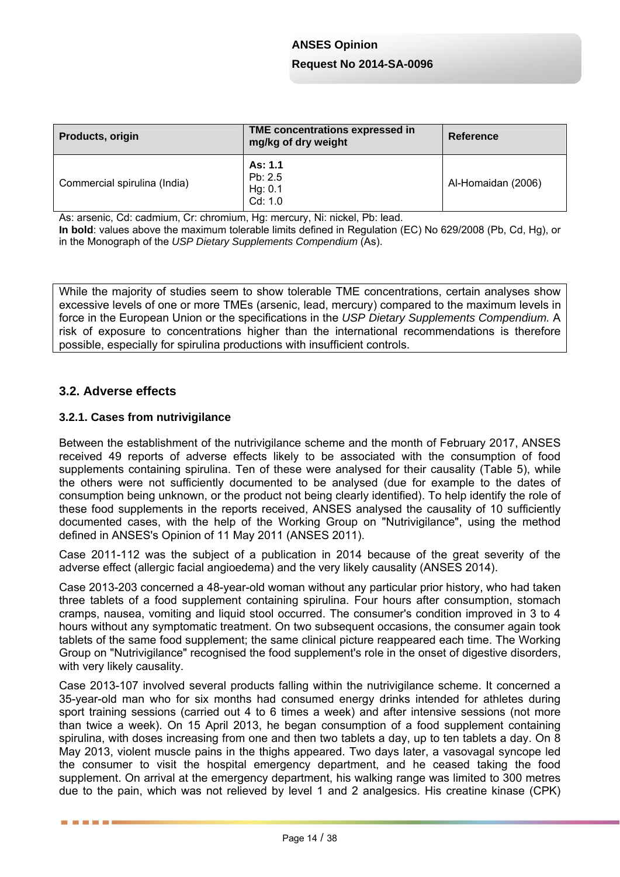| Products, origin             | TME concentrations expressed in<br>mg/kg of dry weight | <b>Reference</b>   |
|------------------------------|--------------------------------------------------------|--------------------|
| Commercial spirulina (India) | As: 1.1<br>Pb: 2.5<br>Hg: 0.1<br>Cd: 1.0               | Al-Homaidan (2006) |

As: arsenic, Cd: cadmium, Cr: chromium, Hg: mercury, Ni: nickel, Pb: lead.

**In bold**: values above the maximum tolerable limits defined in Regulation (EC) No 629/2008 (Pb, Cd, Hg), or in the Monograph of the *USP Dietary Supplements Compendium* (As).

While the majority of studies seem to show tolerable TME concentrations, certain analyses show excessive levels of one or more TMEs (arsenic, lead, mercury) compared to the maximum levels in force in the European Union or the specifications in the *USP Dietary Supplements Compendium.* A risk of exposure to concentrations higher than the international recommendations is therefore possible, especially for spirulina productions with insufficient controls.

## **3.2. Adverse effects**

■ ■ ■ ■ ■ ■

#### **3.2.1. Cases from nutrivigilance**

Between the establishment of the nutrivigilance scheme and the month of February 2017, ANSES received 49 reports of adverse effects likely to be associated with the consumption of food supplements containing spirulina. Ten of these were analysed for their causality (Table 5), while the others were not sufficiently documented to be analysed (due for example to the dates of consumption being unknown, or the product not being clearly identified). To help identify the role of these food supplements in the reports received, ANSES analysed the causality of 10 sufficiently documented cases, with the help of the Working Group on "Nutrivigilance", using the method defined in ANSES's Opinion of 11 May 2011 (ANSES 2011).

Case 2011-112 was the subject of a publication in 2014 because of the great severity of the adverse effect (allergic facial angioedema) and the very likely causality (ANSES 2014).

Case 2013-203 concerned a 48-year-old woman without any particular prior history, who had taken three tablets of a food supplement containing spirulina. Four hours after consumption, stomach cramps, nausea, vomiting and liquid stool occurred. The consumer's condition improved in 3 to 4 hours without any symptomatic treatment. On two subsequent occasions, the consumer again took tablets of the same food supplement; the same clinical picture reappeared each time. The Working Group on "Nutrivigilance" recognised the food supplement's role in the onset of digestive disorders, with very likely causality.

Case 2013-107 involved several products falling within the nutrivigilance scheme. It concerned a 35-year-old man who for six months had consumed energy drinks intended for athletes during sport training sessions (carried out 4 to 6 times a week) and after intensive sessions (not more than twice a week). On 15 April 2013, he began consumption of a food supplement containing spirulina, with doses increasing from one and then two tablets a day, up to ten tablets a day. On 8 May 2013, violent muscle pains in the thighs appeared. Two days later, a vasovagal syncope led the consumer to visit the hospital emergency department, and he ceased taking the food supplement. On arrival at the emergency department, his walking range was limited to 300 metres due to the pain, which was not relieved by level 1 and 2 analgesics. His creatine kinase (CPK)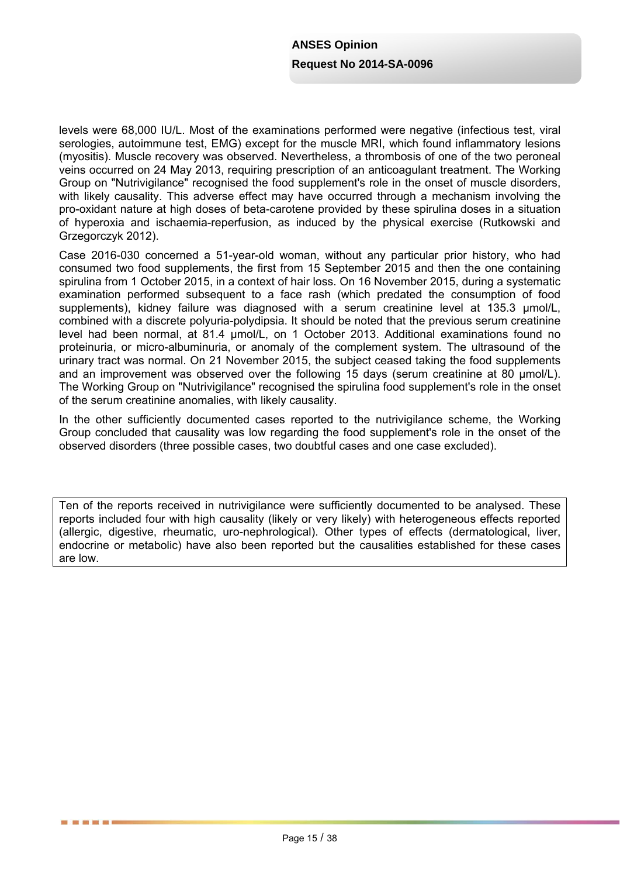levels were 68,000 IU/L. Most of the examinations performed were negative (infectious test, viral serologies, autoimmune test. EMG) except for the muscle MRI, which found inflammatory lesions (myositis). Muscle recovery was observed. Nevertheless, a thrombosis of one of the two peroneal veins occurred on 24 May 2013, requiring prescription of an anticoagulant treatment. The Working Group on "Nutrivigilance" recognised the food supplement's role in the onset of muscle disorders, with likely causality. This adverse effect may have occurred through a mechanism involving the pro-oxidant nature at high doses of beta-carotene provided by these spirulina doses in a situation of hyperoxia and ischaemia-reperfusion, as induced by the physical exercise (Rutkowski and Grzegorczyk 2012).

Case 2016-030 concerned a 51-year-old woman, without any particular prior history, who had consumed two food supplements, the first from 15 September 2015 and then the one containing spirulina from 1 October 2015, in a context of hair loss. On 16 November 2015, during a systematic examination performed subsequent to a face rash (which predated the consumption of food supplements), kidney failure was diagnosed with a serum creatinine level at 135.3 μmol/L, combined with a discrete polyuria-polydipsia. It should be noted that the previous serum creatinine level had been normal, at 81.4 μmol/L, on 1 October 2013. Additional examinations found no proteinuria, or micro-albuminuria, or anomaly of the complement system. The ultrasound of the urinary tract was normal. On 21 November 2015, the subject ceased taking the food supplements and an improvement was observed over the following 15 days (serum creatinine at 80 μmol/L). The Working Group on "Nutrivigilance" recognised the spirulina food supplement's role in the onset of the serum creatinine anomalies, with likely causality.

In the other sufficiently documented cases reported to the nutrivigilance scheme, the Working Group concluded that causality was low regarding the food supplement's role in the onset of the observed disorders (three possible cases, two doubtful cases and one case excluded).

Ten of the reports received in nutrivigilance were sufficiently documented to be analysed. These reports included four with high causality (likely or very likely) with heterogeneous effects reported (allergic, digestive, rheumatic, uro-nephrological). Other types of effects (dermatological, liver, endocrine or metabolic) have also been reported but the causalities established for these cases are low.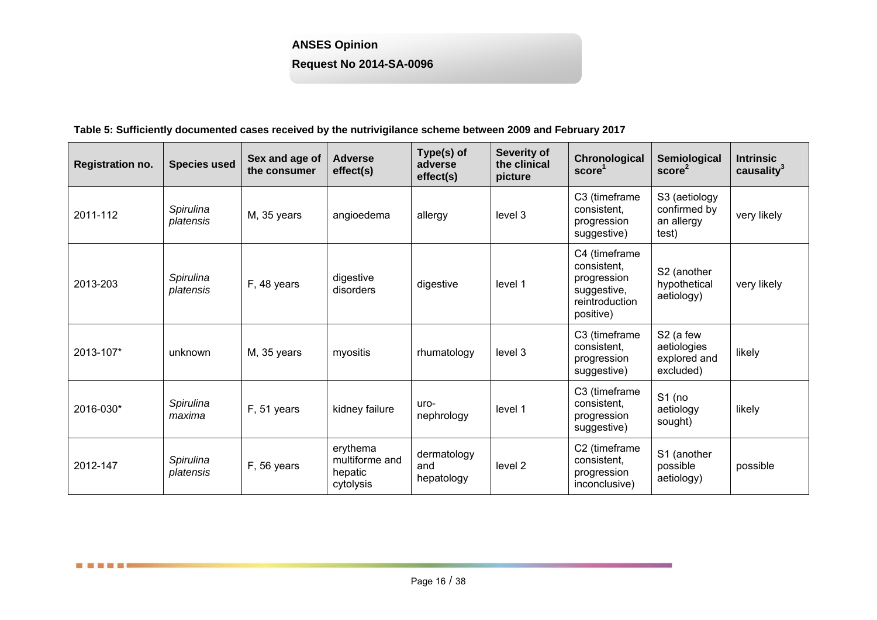## **ANSES Opinion**

**Request No 2014-SA-0096** 

#### **Table 5: Sufficiently documented cases received by the nutrivigilance scheme between 2009 and February 2017**

| <b>Registration no.</b> | <b>Species used</b>    | Sex and age of<br>the consumer | <b>Adverse</b><br>effect(s)                        | Type(s) of<br>adverse<br>effect(s) | Severity of<br>the clinical<br>picture | Chronological<br>score <sup>1</sup>                                                       | Semiological<br>score <sup>2</sup>                    | <b>Intrinsic</b><br>causality $3$ |
|-------------------------|------------------------|--------------------------------|----------------------------------------------------|------------------------------------|----------------------------------------|-------------------------------------------------------------------------------------------|-------------------------------------------------------|-----------------------------------|
| 2011-112                | Spirulina<br>platensis | M, 35 years                    | angioedema                                         | allergy                            | level 3                                | C3 (timeframe<br>consistent,<br>progression<br>suggestive)                                | S3 (aetiology<br>confirmed by<br>an allergy<br>test)  | very likely                       |
| 2013-203                | Spirulina<br>platensis | F, 48 years                    | digestive<br>disorders                             | digestive                          | level 1                                | C4 (timeframe<br>consistent.<br>progression<br>suggestive,<br>reintroduction<br>positive) | S2 (another<br>hypothetical<br>aetiology)             | very likely                       |
| 2013-107*               | unknown                | M, 35 years                    | myositis                                           | rhumatology                        | level 3                                | C3 (timeframe<br>consistent.<br>progression<br>suggestive)                                | S2 (a few<br>aetiologies<br>explored and<br>excluded) | likely                            |
| 2016-030*               | Spirulina<br>maxima    | F, 51 years                    | kidney failure                                     | uro-<br>nephrology                 | level 1                                | C3 (timeframe<br>consistent.<br>progression<br>suggestive)                                | $S1$ (no<br>aetiology<br>sought)                      | likely                            |
| 2012-147                | Spirulina<br>platensis | F, 56 years                    | erythema<br>multiforme and<br>hepatic<br>cytolysis | dermatology<br>and<br>hepatology   | level 2                                | C2 (timeframe<br>consistent,<br>progression<br>inconclusive)                              | S1 (another<br>possible<br>aetiology)                 | possible                          |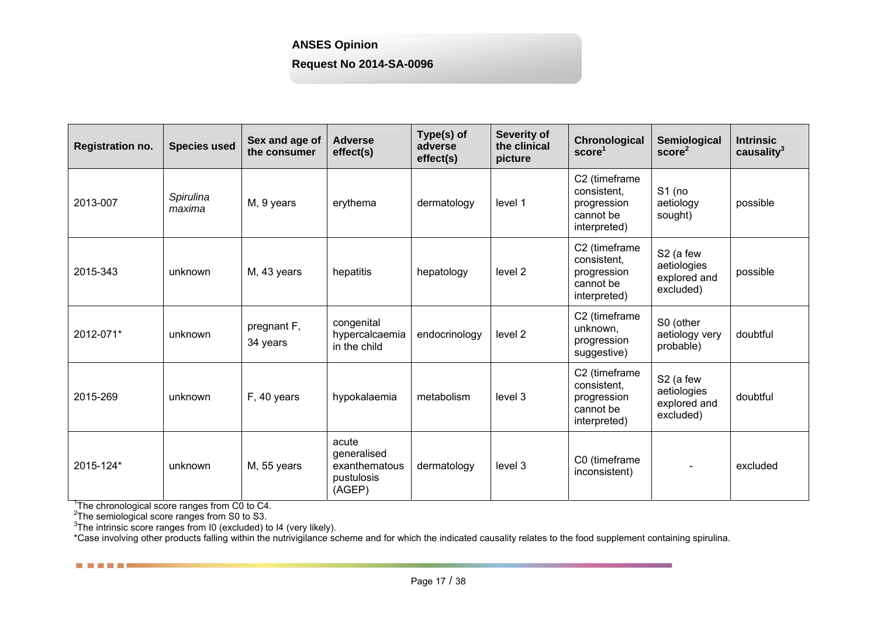## **ANSES Opinion**

## **Request No 2014-SA-0096**

| <b>Registration no.</b> | <b>Species used</b> | Sex and age of<br>the consumer | <b>Adverse</b><br>effect(s)                                   | Type(s) of<br>adverse<br>effect(s) | <b>Severity of</b><br>the clinical<br>picture | Chronological<br>score <sup>1</sup>                                      | Semiological<br>score <sup>2</sup>                                | <b>Intrinsic</b><br>causality <sup>3</sup> |
|-------------------------|---------------------|--------------------------------|---------------------------------------------------------------|------------------------------------|-----------------------------------------------|--------------------------------------------------------------------------|-------------------------------------------------------------------|--------------------------------------------|
| 2013-007                | Spirulina<br>maxima | M, 9 years                     | erythema                                                      | dermatology                        | level 1                                       | C2 (timeframe<br>consistent.<br>progression<br>cannot be<br>interpreted) | $S1$ (no<br>aetiology<br>sought)                                  | possible                                   |
| 2015-343                | unknown             | M, 43 years                    | hepatitis                                                     | hepatology                         | level 2                                       | C2 (timeframe<br>consistent,<br>progression<br>cannot be<br>interpreted) | S <sub>2</sub> (a few<br>aetiologies<br>explored and<br>excluded) | possible                                   |
| 2012-071*               | unknown             | pregnant F,<br>34 years        | congenital<br>hypercalcaemia<br>in the child                  | endocrinology                      | level 2                                       | C2 (timeframe<br>unknown,<br>progression<br>suggestive)                  | S0 (other<br>aetiology very<br>probable)                          | doubtful                                   |
| 2015-269                | unknown             | F, 40 years                    | hypokalaemia                                                  | metabolism                         | level 3                                       | C2 (timeframe<br>consistent,<br>progression<br>cannot be<br>interpreted) | S <sub>2</sub> (a few<br>aetiologies<br>explored and<br>excluded) | doubtful                                   |
| 2015-124*               | unknown             | M, 55 years                    | acute<br>generalised<br>exanthematous<br>pustulosis<br>(AGEP) | dermatology                        | level 3                                       | C0 (timeframe<br>inconsistent)                                           |                                                                   | excluded                                   |

. . . . .

<sup>1</sup>The chronological score ranges from C0 to C4.<br>
<sup>2</sup>The semiological score ranges from S0 to S3.<br>
<sup>3</sup>The intrinsic score ranges from I0 (excluded) to I4 (very likely).

\*Case involving other products falling within the nutrivigilance scheme and for which the indicated causality relates to the food supplement containing spirulina.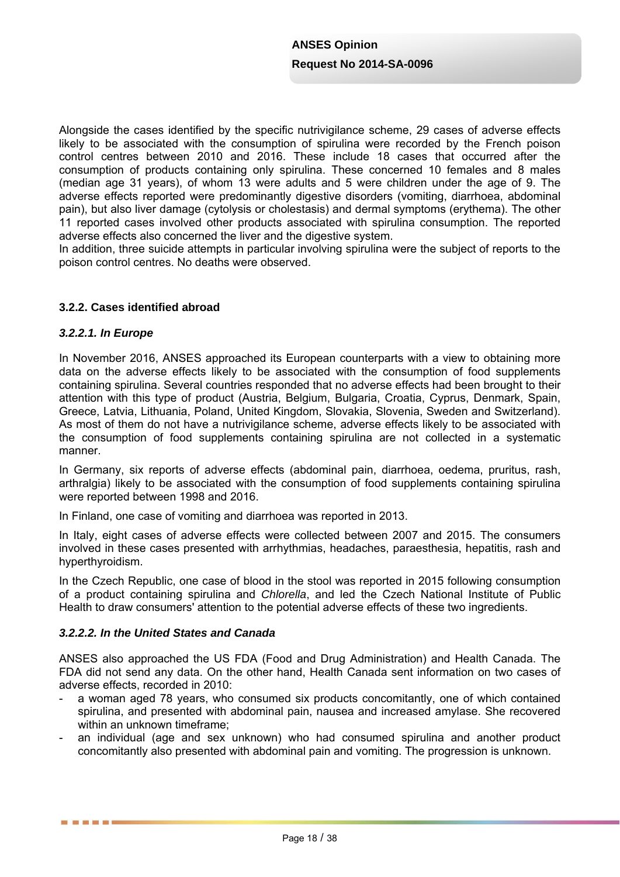Alongside the cases identified by the specific nutrivigilance scheme, 29 cases of adverse effects likely to be associated with the consumption of spirulina were recorded by the French poison control centres between 2010 and 2016. These include 18 cases that occurred after the consumption of products containing only spirulina. These concerned 10 females and 8 males (median age 31 years), of whom 13 were adults and 5 were children under the age of 9. The adverse effects reported were predominantly digestive disorders (vomiting, diarrhoea, abdominal pain), but also liver damage (cytolysis or cholestasis) and dermal symptoms (erythema). The other 11 reported cases involved other products associated with spirulina consumption. The reported adverse effects also concerned the liver and the digestive system.

In addition, three suicide attempts in particular involving spirulina were the subject of reports to the poison control centres. No deaths were observed.

## **3.2.2. Cases identified abroad**

#### *3.2.2.1. In Europe*

------

In November 2016, ANSES approached its European counterparts with a view to obtaining more data on the adverse effects likely to be associated with the consumption of food supplements containing spirulina. Several countries responded that no adverse effects had been brought to their attention with this type of product (Austria, Belgium, Bulgaria, Croatia, Cyprus, Denmark, Spain, Greece, Latvia, Lithuania, Poland, United Kingdom, Slovakia, Slovenia, Sweden and Switzerland). As most of them do not have a nutrivigilance scheme, adverse effects likely to be associated with the consumption of food supplements containing spirulina are not collected in a systematic manner.

In Germany, six reports of adverse effects (abdominal pain, diarrhoea, oedema, pruritus, rash, arthralgia) likely to be associated with the consumption of food supplements containing spirulina were reported between 1998 and 2016.

In Finland, one case of vomiting and diarrhoea was reported in 2013.

In Italy, eight cases of adverse effects were collected between 2007 and 2015. The consumers involved in these cases presented with arrhythmias, headaches, paraesthesia, hepatitis, rash and hyperthyroidism.

In the Czech Republic, one case of blood in the stool was reported in 2015 following consumption of a product containing spirulina and *Chlorella*, and led the Czech National Institute of Public Health to draw consumers' attention to the potential adverse effects of these two ingredients.

#### *3.2.2.2. In the United States and Canada*

ANSES also approached the US FDA (Food and Drug Administration) and Health Canada. The FDA did not send any data. On the other hand, Health Canada sent information on two cases of adverse effects, recorded in 2010:

- a woman aged 78 years, who consumed six products concomitantly, one of which contained spirulina, and presented with abdominal pain, nausea and increased amylase. She recovered within an unknown timeframe:
- an individual (age and sex unknown) who had consumed spirulina and another product concomitantly also presented with abdominal pain and vomiting. The progression is unknown.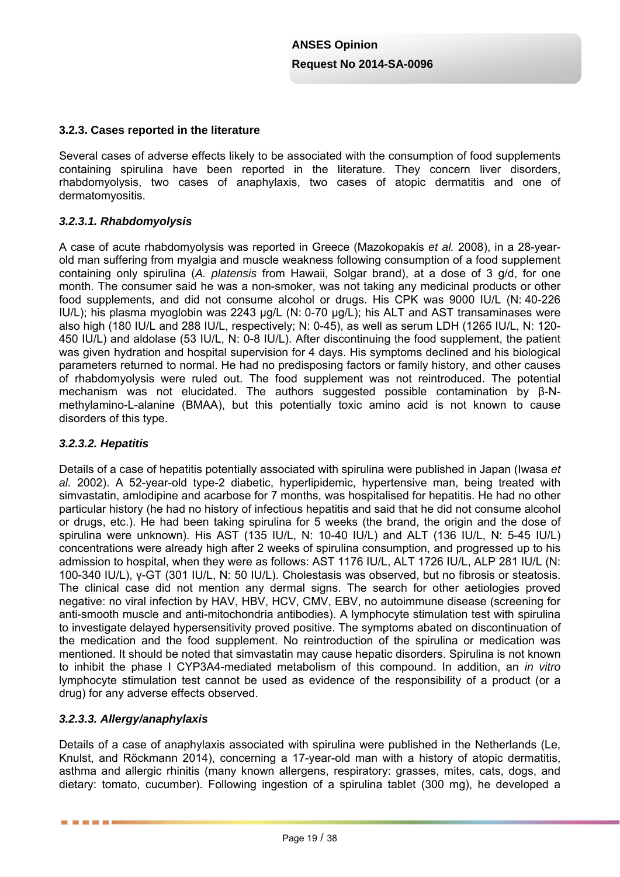## **3.2.3. Cases reported in the literature**

Several cases of adverse effects likely to be associated with the consumption of food supplements containing spirulina have been reported in the literature. They concern liver disorders, rhabdomyolysis, two cases of anaphylaxis, two cases of atopic dermatitis and one of dermatomyositis.

### *3.2.3.1. Rhabdomyolysis*

A case of acute rhabdomyolysis was reported in Greece (Mazokopakis *et al.* 2008), in a 28-yearold man suffering from myalgia and muscle weakness following consumption of a food supplement containing only spirulina (*A. platensis* from Hawaii, Solgar brand), at a dose of 3 g/d, for one month. The consumer said he was a non-smoker, was not taking any medicinal products or other food supplements, and did not consume alcohol or drugs. His CPK was 9000 IU/L (N: 40-226 IU/L); his plasma myoglobin was 2243 µg/L (N: 0-70 µg/L); his ALT and AST transaminases were also high (180 IU/L and 288 IU/L, respectively; N: 0-45), as well as serum LDH (1265 IU/L, N: 120- 450 IU/L) and aldolase (53 IU/L, N: 0-8 IU/L). After discontinuing the food supplement, the patient was given hydration and hospital supervision for 4 days. His symptoms declined and his biological parameters returned to normal. He had no predisposing factors or family history, and other causes of rhabdomyolysis were ruled out. The food supplement was not reintroduced. The potential mechanism was not elucidated. The authors suggested possible contamination by β-Nmethylamino-L-alanine (BMAA), but this potentially toxic amino acid is not known to cause disorders of this type.

## *3.2.3.2. Hepatitis*

Details of a case of hepatitis potentially associated with spirulina were published in Japan (Iwasa *et al.* 2002). A 52-year-old type-2 diabetic, hyperlipidemic, hypertensive man, being treated with simvastatin, amlodipine and acarbose for 7 months, was hospitalised for hepatitis. He had no other particular history (he had no history of infectious hepatitis and said that he did not consume alcohol or drugs, etc.). He had been taking spirulina for 5 weeks (the brand, the origin and the dose of spirulina were unknown). His AST (135 IU/L, N: 10-40 IU/L) and ALT (136 IU/L, N: 5-45 IU/L) concentrations were already high after 2 weeks of spirulina consumption, and progressed up to his admission to hospital, when they were as follows: AST 1176 IU/L, ALT 1726 IU/L, ALP 281 IU/L (N: 100-340 IU/L), γ-GT (301 IU/L, N: 50 IU/L). Cholestasis was observed, but no fibrosis or steatosis. The clinical case did not mention any dermal signs. The search for other aetiologies proved negative: no viral infection by HAV, HBV, HCV, CMV, EBV, no autoimmune disease (screening for anti-smooth muscle and anti-mitochondria antibodies). A lymphocyte stimulation test with spirulina to investigate delayed hypersensitivity proved positive. The symptoms abated on discontinuation of the medication and the food supplement. No reintroduction of the spirulina or medication was mentioned. It should be noted that simvastatin may cause hepatic disorders. Spirulina is not known to inhibit the phase I CYP3A4-mediated metabolism of this compound. In addition, an *in vitro* lymphocyte stimulation test cannot be used as evidence of the responsibility of a product (or a drug) for any adverse effects observed.

### *3.2.3.3. Allergy/anaphylaxis*

-------

Details of a case of anaphylaxis associated with spirulina were published in the Netherlands (Le, Knulst, and Röckmann 2014), concerning a 17-year-old man with a history of atopic dermatitis, asthma and allergic rhinitis (many known allergens, respiratory: grasses, mites, cats, dogs, and dietary: tomato, cucumber). Following ingestion of a spirulina tablet (300 mg), he developed a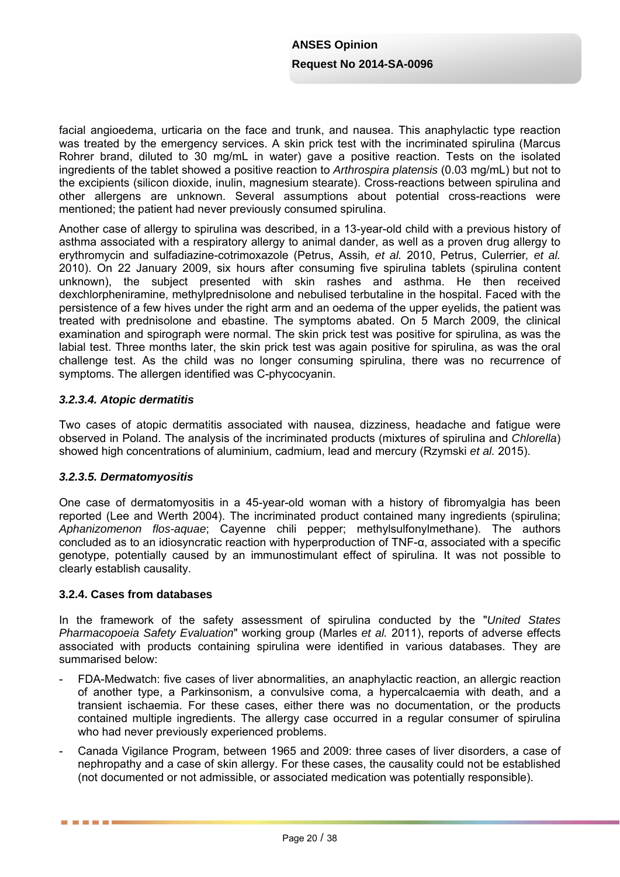facial angioedema, urticaria on the face and trunk, and nausea. This anaphylactic type reaction was treated by the emergency services. A skin prick test with the incriminated spirulina (Marcus Rohrer brand, diluted to 30 mg/mL in water) gave a positive reaction. Tests on the isolated ingredients of the tablet showed a positive reaction to *Arthrospira platensis* (0.03 mg/mL) but not to the excipients (silicon dioxide, inulin, magnesium stearate). Cross-reactions between spirulina and other allergens are unknown. Several assumptions about potential cross-reactions were mentioned; the patient had never previously consumed spirulina.

Another case of allergy to spirulina was described, in a 13-year-old child with a previous history of asthma associated with a respiratory allergy to animal dander, as well as a proven drug allergy to erythromycin and sulfadiazine-cotrimoxazole (Petrus, Assih*, et al.* 2010, Petrus, Culerrier*, et al.* 2010). On 22 January 2009, six hours after consuming five spirulina tablets (spirulina content unknown), the subject presented with skin rashes and asthma. He then received dexchlorpheniramine, methylprednisolone and nebulised terbutaline in the hospital. Faced with the persistence of a few hives under the right arm and an oedema of the upper eyelids, the patient was treated with prednisolone and ebastine. The symptoms abated. On 5 March 2009, the clinical examination and spirograph were normal. The skin prick test was positive for spirulina, as was the labial test. Three months later, the skin prick test was again positive for spirulina, as was the oral challenge test. As the child was no longer consuming spirulina, there was no recurrence of symptoms. The allergen identified was C-phycocyanin.

### *3.2.3.4. Atopic dermatitis*

Two cases of atopic dermatitis associated with nausea, dizziness, headache and fatigue were observed in Poland. The analysis of the incriminated products (mixtures of spirulina and *Chlorella*) showed high concentrations of aluminium, cadmium, lead and mercury (Rzymski *et al.* 2015).

### *3.2.3.5. Dermatomyositis*

One case of dermatomyositis in a 45-year-old woman with a history of fibromyalgia has been reported (Lee and Werth 2004). The incriminated product contained many ingredients (spirulina; *Aphanizomenon flos-aquae*; Cayenne chili pepper; methylsulfonylmethane). The authors concluded as to an idiosyncratic reaction with hyperproduction of TNF-α, associated with a specific genotype, potentially caused by an immunostimulant effect of spirulina. It was not possible to clearly establish causality.

### **3.2.4. Cases from databases**

In the framework of the safety assessment of spirulina conducted by the "*United States Pharmacopoeia Safety Evaluation*" working group (Marles *et al.* 2011), reports of adverse effects associated with products containing spirulina were identified in various databases. They are summarised below:

- FDA-Medwatch: five cases of liver abnormalities, an anaphylactic reaction, an allergic reaction of another type, a Parkinsonism, a convulsive coma, a hypercalcaemia with death, and a transient ischaemia. For these cases, either there was no documentation, or the products contained multiple ingredients. The allergy case occurred in a regular consumer of spirulina who had never previously experienced problems.
- Canada Vigilance Program, between 1965 and 2009: three cases of liver disorders, a case of nephropathy and a case of skin allergy. For these cases, the causality could not be established (not documented or not admissible, or associated medication was potentially responsible).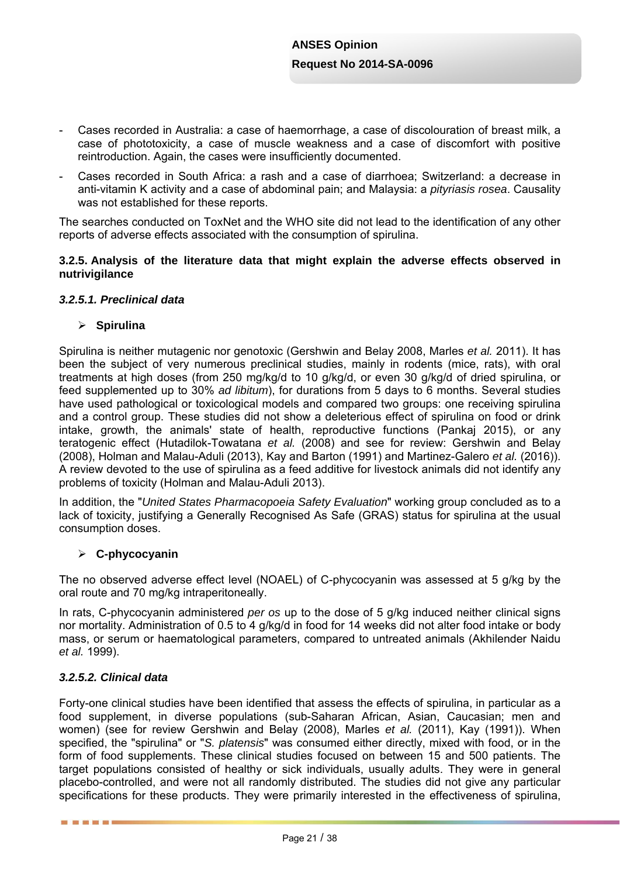- Cases recorded in Australia: a case of haemorrhage, a case of discolouration of breast milk, a case of phototoxicity, a case of muscle weakness and a case of discomfort with positive reintroduction. Again, the cases were insufficiently documented.
- Cases recorded in South Africa: a rash and a case of diarrhoea; Switzerland: a decrease in anti-vitamin K activity and a case of abdominal pain; and Malaysia: a *pityriasis rosea*. Causality was not established for these reports.

The searches conducted on ToxNet and the WHO site did not lead to the identification of any other reports of adverse effects associated with the consumption of spirulina.

#### **3.2.5. Analysis of the literature data that might explain the adverse effects observed in nutrivigilance**

### *3.2.5.1. Preclinical data*

#### **Spirulina**

Spirulina is neither mutagenic nor genotoxic (Gershwin and Belay 2008, Marles *et al.* 2011). It has been the subject of very numerous preclinical studies, mainly in rodents (mice, rats), with oral treatments at high doses (from 250 mg/kg/d to 10 g/kg/d, or even 30 g/kg/d of dried spirulina, or feed supplemented up to 30% *ad libitum*), for durations from 5 days to 6 months. Several studies have used pathological or toxicological models and compared two groups: one receiving spirulina and a control group. These studies did not show a deleterious effect of spirulina on food or drink intake, growth, the animals' state of health, reproductive functions (Pankaj 2015), or any teratogenic effect (Hutadilok-Towatana *et al.* (2008) and see for review: Gershwin and Belay (2008), Holman and Malau-Aduli (2013), Kay and Barton (1991) and Martinez-Galero *et al.* (2016)). A review devoted to the use of spirulina as a feed additive for livestock animals did not identify any problems of toxicity (Holman and Malau-Aduli 2013).

In addition, the "*United States Pharmacopoeia Safety Evaluation*" working group concluded as to a lack of toxicity, justifying a Generally Recognised As Safe (GRAS) status for spirulina at the usual consumption doses.

#### **C-phycocyanin**

The no observed adverse effect level (NOAEL) of C-phycocyanin was assessed at 5 g/kg by the oral route and 70 mg/kg intraperitoneally.

In rats, C-phycocyanin administered *per os* up to the dose of 5 g/kg induced neither clinical signs nor mortality. Administration of 0.5 to 4 g/kg/d in food for 14 weeks did not alter food intake or body mass, or serum or haematological parameters, compared to untreated animals (Akhilender Naidu *et al.* 1999).

### *3.2.5.2. Clinical data*

■ ■ ■ ■ ■ ■

Forty-one clinical studies have been identified that assess the effects of spirulina, in particular as a food supplement, in diverse populations (sub-Saharan African, Asian, Caucasian; men and women) (see for review Gershwin and Belay (2008), Marles *et al.* (2011), Kay (1991)). When specified, the "spirulina" or "*S. platensis*" was consumed either directly, mixed with food, or in the form of food supplements. These clinical studies focused on between 15 and 500 patients. The target populations consisted of healthy or sick individuals, usually adults. They were in general placebo-controlled, and were not all randomly distributed. The studies did not give any particular specifications for these products. They were primarily interested in the effectiveness of spirulina,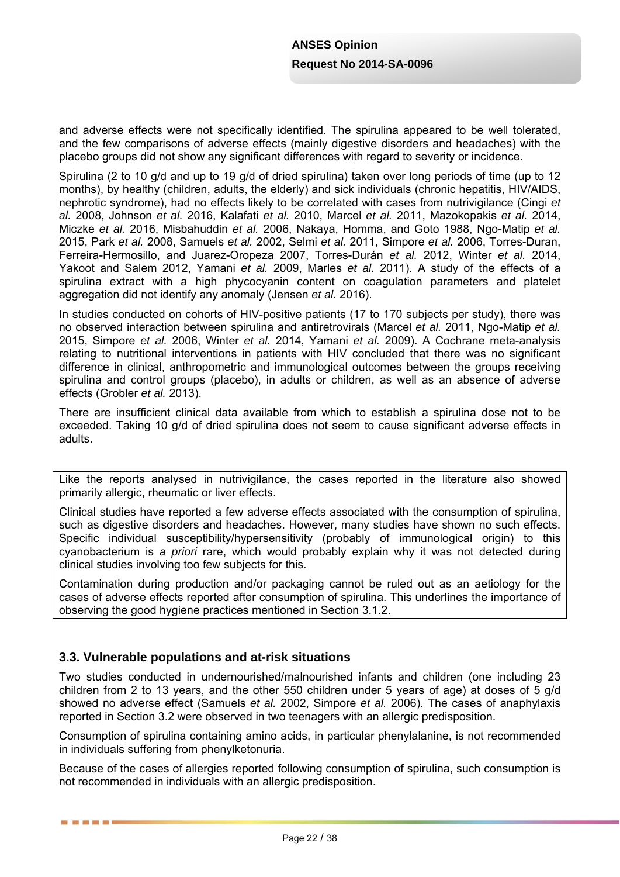and adverse effects were not specifically identified. The spirulina appeared to be well tolerated, and the few comparisons of adverse effects (mainly digestive disorders and headaches) with the placebo groups did not show any significant differences with regard to severity or incidence.

Spirulina (2 to 10 g/d and up to 19 g/d of dried spirulina) taken over long periods of time (up to 12 months), by healthy (children, adults, the elderly) and sick individuals (chronic hepatitis, HIV/AIDS, nephrotic syndrome), had no effects likely to be correlated with cases from nutrivigilance (Cingi *et al.* 2008, Johnson *et al.* 2016, Kalafati *et al.* 2010, Marcel *et al.* 2011, Mazokopakis *et al.* 2014, Miczke *et al.* 2016, Misbahuddin *et al.* 2006, Nakaya, Homma, and Goto 1988, Ngo-Matip *et al.* 2015, Park *et al.* 2008, Samuels *et al.* 2002, Selmi *et al.* 2011, Simpore *et al.* 2006, Torres-Duran, Ferreira-Hermosillo, and Juarez-Oropeza 2007, Torres-Durán *et al.* 2012, Winter *et al.* 2014, Yakoot and Salem 2012, Yamani *et al.* 2009, Marles *et al.* 2011). A study of the effects of a spirulina extract with a high phycocyanin content on coagulation parameters and platelet aggregation did not identify any anomaly (Jensen *et al.* 2016).

In studies conducted on cohorts of HIV-positive patients (17 to 170 subjects per study), there was no observed interaction between spirulina and antiretrovirals (Marcel *et al.* 2011, Ngo-Matip *et al.* 2015, Simpore *et al.* 2006, Winter *et al.* 2014, Yamani *et al.* 2009). A Cochrane meta-analysis relating to nutritional interventions in patients with HIV concluded that there was no significant difference in clinical, anthropometric and immunological outcomes between the groups receiving spirulina and control groups (placebo), in adults or children, as well as an absence of adverse effects (Grobler *et al.* 2013).

There are insufficient clinical data available from which to establish a spirulina dose not to be exceeded. Taking 10 g/d of dried spirulina does not seem to cause significant adverse effects in adults.

Like the reports analysed in nutrivigilance, the cases reported in the literature also showed primarily allergic, rheumatic or liver effects.

Clinical studies have reported a few adverse effects associated with the consumption of spirulina, such as digestive disorders and headaches. However, many studies have shown no such effects. Specific individual susceptibility/hypersensitivity (probably of immunological origin) to this cyanobacterium is *a priori* rare, which would probably explain why it was not detected during clinical studies involving too few subjects for this.

Contamination during production and/or packaging cannot be ruled out as an aetiology for the cases of adverse effects reported after consumption of spirulina. This underlines the importance of observing the good hygiene practices mentioned in Section 3.1.2.

## **3.3. Vulnerable populations and at-risk situations**

------

Two studies conducted in undernourished/malnourished infants and children (one including 23 children from 2 to 13 years, and the other 550 children under 5 years of age) at doses of 5 g/d showed no adverse effect (Samuels *et al.* 2002, Simpore *et al.* 2006). The cases of anaphylaxis reported in Section 3.2 were observed in two teenagers with an allergic predisposition.

Consumption of spirulina containing amino acids, in particular phenylalanine, is not recommended in individuals suffering from phenylketonuria.

Because of the cases of allergies reported following consumption of spirulina, such consumption is not recommended in individuals with an allergic predisposition.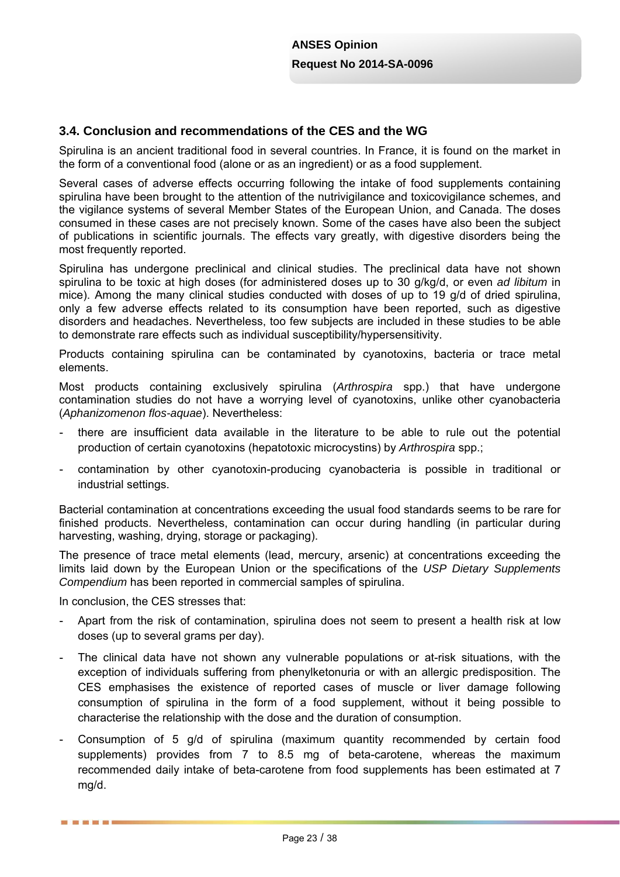## **3.4. Conclusion and recommendations of the CES and the WG**

Spirulina is an ancient traditional food in several countries. In France, it is found on the market in the form of a conventional food (alone or as an ingredient) or as a food supplement.

Several cases of adverse effects occurring following the intake of food supplements containing spirulina have been brought to the attention of the nutrivigilance and toxicovigilance schemes, and the vigilance systems of several Member States of the European Union, and Canada. The doses consumed in these cases are not precisely known. Some of the cases have also been the subject of publications in scientific journals. The effects vary greatly, with digestive disorders being the most frequently reported.

Spirulina has undergone preclinical and clinical studies. The preclinical data have not shown spirulina to be toxic at high doses (for administered doses up to 30 g/kg/d, or even *ad libitum* in mice). Among the many clinical studies conducted with doses of up to 19 g/d of dried spirulina, only a few adverse effects related to its consumption have been reported, such as digestive disorders and headaches. Nevertheless, too few subjects are included in these studies to be able to demonstrate rare effects such as individual susceptibility/hypersensitivity.

Products containing spirulina can be contaminated by cyanotoxins, bacteria or trace metal elements.

Most products containing exclusively spirulina (*Arthrospira* spp.) that have undergone contamination studies do not have a worrying level of cyanotoxins, unlike other cyanobacteria (*Aphanizomenon flos-aquae*). Nevertheless:

- there are insufficient data available in the literature to be able to rule out the potential production of certain cyanotoxins (hepatotoxic microcystins) by *Arthrospira* spp.;
- contamination by other cyanotoxin-producing cyanobacteria is possible in traditional or industrial settings.

Bacterial contamination at concentrations exceeding the usual food standards seems to be rare for finished products. Nevertheless, contamination can occur during handling (in particular during harvesting, washing, drying, storage or packaging).

The presence of trace metal elements (lead, mercury, arsenic) at concentrations exceeding the limits laid down by the European Union or the specifications of the *USP Dietary Supplements Compendium* has been reported in commercial samples of spirulina.

In conclusion, the CES stresses that:

- Apart from the risk of contamination, spirulina does not seem to present a health risk at low doses (up to several grams per day).
- The clinical data have not shown any vulnerable populations or at-risk situations, with the exception of individuals suffering from phenylketonuria or with an allergic predisposition. The CES emphasises the existence of reported cases of muscle or liver damage following consumption of spirulina in the form of a food supplement, without it being possible to characterise the relationship with the dose and the duration of consumption.
- Consumption of 5 g/d of spirulina (maximum quantity recommended by certain food supplements) provides from 7 to 8.5 mg of beta-carotene, whereas the maximum recommended daily intake of beta-carotene from food supplements has been estimated at 7 mg/d.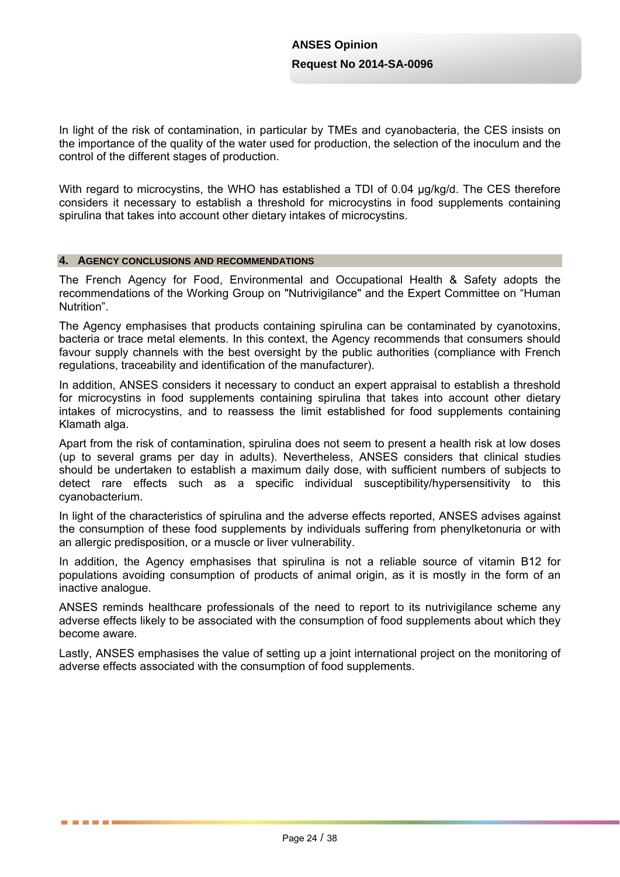In light of the risk of contamination, in particular by TMEs and cyanobacteria, the CES insists on the importance of the quality of the water used for production, the selection of the inoculum and the control of the different stages of production.

With regard to microcystins, the WHO has established a TDI of 0.04 ug/kg/d. The CES therefore considers it necessary to establish a threshold for microcystins in food supplements containing spirulina that takes into account other dietary intakes of microcystins.

#### **4. AGENCY CONCLUSIONS AND RECOMMENDATIONS**

言言語言言

The French Agency for Food, Environmental and Occupational Health & Safety adopts the recommendations of the Working Group on "Nutrivigilance" and the Expert Committee on "Human Nutrition".

The Agency emphasises that products containing spirulina can be contaminated by cyanotoxins, bacteria or trace metal elements. In this context, the Agency recommends that consumers should favour supply channels with the best oversight by the public authorities (compliance with French regulations, traceability and identification of the manufacturer).

In addition, ANSES considers it necessary to conduct an expert appraisal to establish a threshold for microcystins in food supplements containing spirulina that takes into account other dietary intakes of microcystins, and to reassess the limit established for food supplements containing Klamath alga.

Apart from the risk of contamination, spirulina does not seem to present a health risk at low doses (up to several grams per day in adults). Nevertheless, ANSES considers that clinical studies should be undertaken to establish a maximum daily dose, with sufficient numbers of subjects to detect rare effects such as a specific individual susceptibility/hypersensitivity to this cyanobacterium.

In light of the characteristics of spirulina and the adverse effects reported, ANSES advises against the consumption of these food supplements by individuals suffering from phenylketonuria or with an allergic predisposition, or a muscle or liver vulnerability.

In addition, the Agency emphasises that spirulina is not a reliable source of vitamin B12 for populations avoiding consumption of products of animal origin, as it is mostly in the form of an inactive analogue.

ANSES reminds healthcare professionals of the need to report to its nutrivigilance scheme any adverse effects likely to be associated with the consumption of food supplements about which they become aware.

Lastly, ANSES emphasises the value of setting up a joint international project on the monitoring of adverse effects associated with the consumption of food supplements.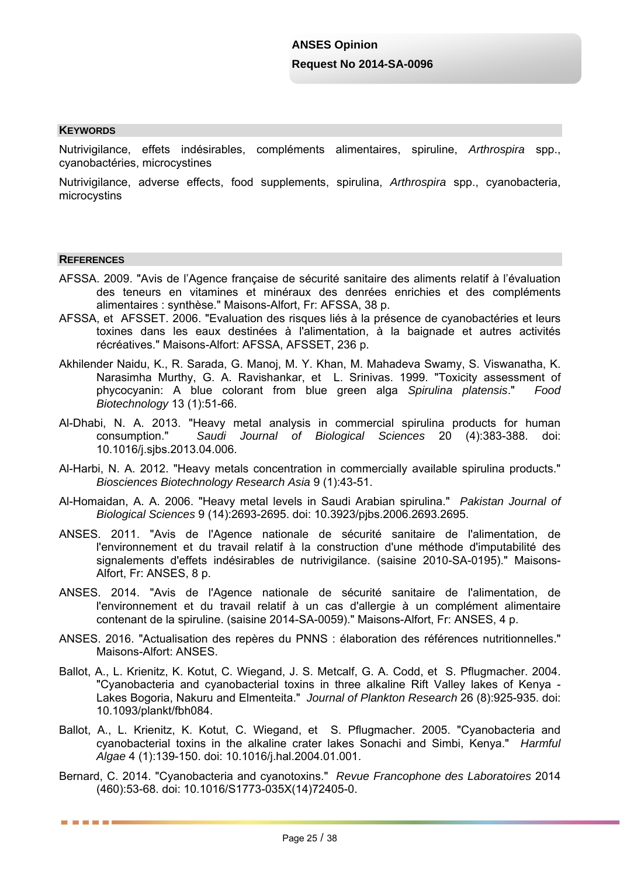#### **KEYWORDS**

Nutrivigilance, effets indésirables, compléments alimentaires, spiruline, *Arthrospira* spp., cyanobactéries, microcystines

Nutrivigilance, adverse effects, food supplements, spirulina, *Arthrospira* spp., cyanobacteria, microcystins

#### **REFERENCES**

■ ■ ■ ■ ■ ■

- AFSSA. 2009. "Avis de l'Agence française de sécurité sanitaire des aliments relatif à l'évaluation des teneurs en vitamines et minéraux des denrées enrichies et des compléments alimentaires : synthèse." Maisons-Alfort, Fr: AFSSA, 38 p.
- AFSSA, et AFSSET. 2006. "Evaluation des risques liés à la présence de cyanobactéries et leurs toxines dans les eaux destinées à l'alimentation, à la baignade et autres activités récréatives." Maisons-Alfort: AFSSA, AFSSET, 236 p.
- Akhilender Naidu, K., R. Sarada, G. Manoj, M. Y. Khan, M. Mahadeva Swamy, S. Viswanatha, K. Narasimha Murthy, G. A. Ravishankar, et L. Srinivas. 1999. "Toxicity assessment of phycocyanin: A blue colorant from blue green alga *Spirulina platensis*." *Food Biotechnology* 13 (1):51-66.
- Al-Dhabi, N. A. 2013. "Heavy metal analysis in commercial spirulina products for human consumption." *Saudi Journal of Biological Sciences* 20 (4):383-388. doi: 10.1016/j.sjbs.2013.04.006.
- Al-Harbi, N. A. 2012. "Heavy metals concentration in commercially available spirulina products." *Biosciences Biotechnology Research Asia* 9 (1):43-51.
- Al-Homaidan, A. A. 2006. "Heavy metal levels in Saudi Arabian spirulina." *Pakistan Journal of Biological Sciences* 9 (14):2693-2695. doi: 10.3923/pjbs.2006.2693.2695.
- ANSES. 2011. "Avis de l'Agence nationale de sécurité sanitaire de l'alimentation, de l'environnement et du travail relatif à la construction d'une méthode d'imputabilité des signalements d'effets indésirables de nutrivigilance. (saisine 2010-SA-0195)." Maisons-Alfort, Fr: ANSES, 8 p.
- ANSES. 2014. "Avis de l'Agence nationale de sécurité sanitaire de l'alimentation, de l'environnement et du travail relatif à un cas d'allergie à un complément alimentaire contenant de la spiruline. (saisine 2014-SA-0059)." Maisons-Alfort, Fr: ANSES, 4 p.
- ANSES. 2016. "Actualisation des repères du PNNS : élaboration des références nutritionnelles." Maisons-Alfort: ANSES.
- Ballot, A., L. Krienitz, K. Kotut, C. Wiegand, J. S. Metcalf, G. A. Codd, et S. Pflugmacher. 2004. "Cyanobacteria and cyanobacterial toxins in three alkaline Rift Valley lakes of Kenya - Lakes Bogoria, Nakuru and Elmenteita." *Journal of Plankton Research* 26 (8):925-935. doi: 10.1093/plankt/fbh084.
- Ballot, A., L. Krienitz, K. Kotut, C. Wiegand, et S. Pflugmacher. 2005. "Cyanobacteria and cyanobacterial toxins in the alkaline crater lakes Sonachi and Simbi, Kenya." *Harmful Algae* 4 (1):139-150. doi: 10.1016/j.hal.2004.01.001.
- Bernard, C. 2014. "Cyanobacteria and cyanotoxins." *Revue Francophone des Laboratoires* 2014 (460):53-68. doi: 10.1016/S1773-035X(14)72405-0.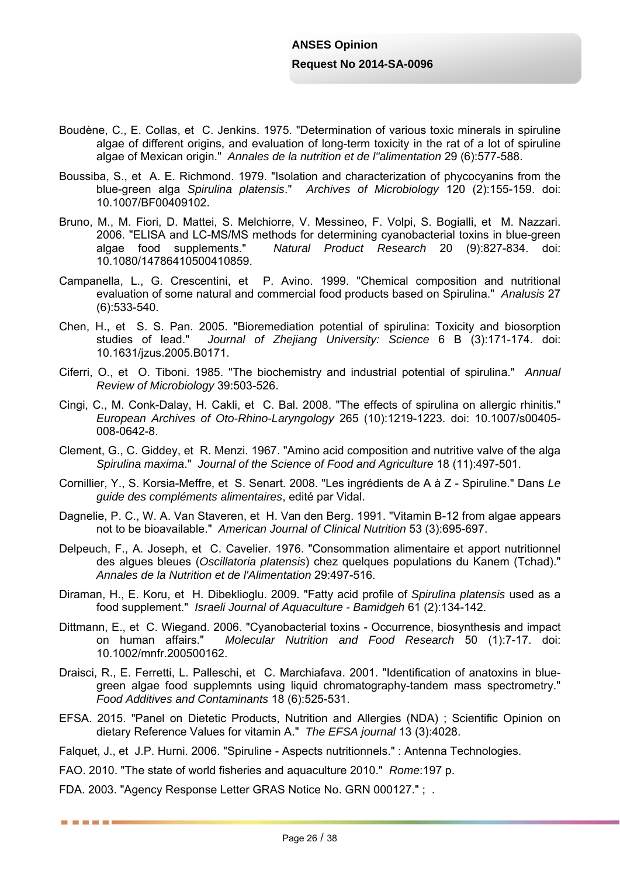- Boudène, C., E. Collas, et C. Jenkins. 1975. "Determination of various toxic minerals in spiruline algae of different origins, and evaluation of long-term toxicity in the rat of a lot of spiruline algae of Mexican origin." *Annales de la nutrition et de l"alimentation* 29 (6):577-588.
- Boussiba, S., et A. E. Richmond. 1979. "Isolation and characterization of phycocyanins from the blue-green alga *Spirulina platensis*." *Archives of Microbiology* 120 (2):155-159. doi: 10.1007/BF00409102.
- Bruno, M., M. Fiori, D. Mattei, S. Melchiorre, V. Messineo, F. Volpi, S. Bogialli, et M. Nazzari. 2006. "ELISA and LC-MS/MS methods for determining cyanobacterial toxins in blue-green algae food supplements." *Natural Product Research* 20 (9):827-834. doi: 10.1080/14786410500410859.
- Campanella, L., G. Crescentini, et P. Avino. 1999. "Chemical composition and nutritional evaluation of some natural and commercial food products based on Spirulina." *Analusis* 27 (6):533-540.
- Chen, H., et S. S. Pan. 2005. "Bioremediation potential of spirulina: Toxicity and biosorption studies of lead." Journal of Zhejiang University: Science 6 B (3):171-174. doi: Journal of Zhejiang University: Science 6 B (3):171-174. doi: 10.1631/jzus.2005.B0171.
- Ciferri, O., et O. Tiboni. 1985. "The biochemistry and industrial potential of spirulina." *Annual Review of Microbiology* 39:503-526.
- Cingi, C., M. Conk-Dalay, H. Cakli, et C. Bal. 2008. "The effects of spirulina on allergic rhinitis." *European Archives of Oto-Rhino-Laryngology* 265 (10):1219-1223. doi: 10.1007/s00405- 008-0642-8.
- Clement, G., C. Giddey, et R. Menzi. 1967. "Amino acid composition and nutritive valve of the alga *Spirulina maxima*." *Journal of the Science of Food and Agriculture* 18 (11):497-501.
- Cornillier, Y., S. Korsia-Meffre, et S. Senart. 2008. "Les ingrédients de A à Z Spiruline." Dans *Le guide des compléments alimentaires*, edité par Vidal.
- Dagnelie, P. C., W. A. Van Staveren, et H. Van den Berg. 1991. "Vitamin B-12 from algae appears not to be bioavailable." *American Journal of Clinical Nutrition* 53 (3):695-697.
- Delpeuch, F., A. Joseph, et C. Cavelier. 1976. "Consommation alimentaire et apport nutritionnel des algues bleues (*Oscillatoria platensis*) chez quelques populations du Kanem (Tchad)." *Annales de la Nutrition et de l'Alimentation* 29:497-516.
- Diraman, H., E. Koru, et H. Dibeklioglu. 2009. "Fatty acid profile of *Spirulina platensis* used as a food supplement." *Israeli Journal of Aquaculture - Bamidgeh* 61 (2):134-142.
- Dittmann, E., et C. Wiegand. 2006. "Cyanobacterial toxins Occurrence, biosynthesis and impact on human affairs." *Molecular Nutrition and Food Research* 50 (1):7-17. doi: 10.1002/mnfr.200500162.
- Draisci, R., E. Ferretti, L. Palleschi, et C. Marchiafava. 2001. "Identification of anatoxins in bluegreen algae food supplemnts using liquid chromatography-tandem mass spectrometry." *Food Additives and Contaminants* 18 (6):525-531.
- EFSA. 2015. "Panel on Dietetic Products, Nutrition and Allergies (NDA) ; Scientific Opinion on dietary Reference Values for vitamin A." *The EFSA journal* 13 (3):4028.
- Falquet, J., et J.P. Hurni. 2006. "Spiruline Aspects nutritionnels." : Antenna Technologies.
- FAO. 2010. "The state of world fisheries and aquaculture 2010." *Rome*:197 p.

FDA. 2003. "Agency Response Letter GRAS Notice No. GRN 000127." ; .

■■■■■■■■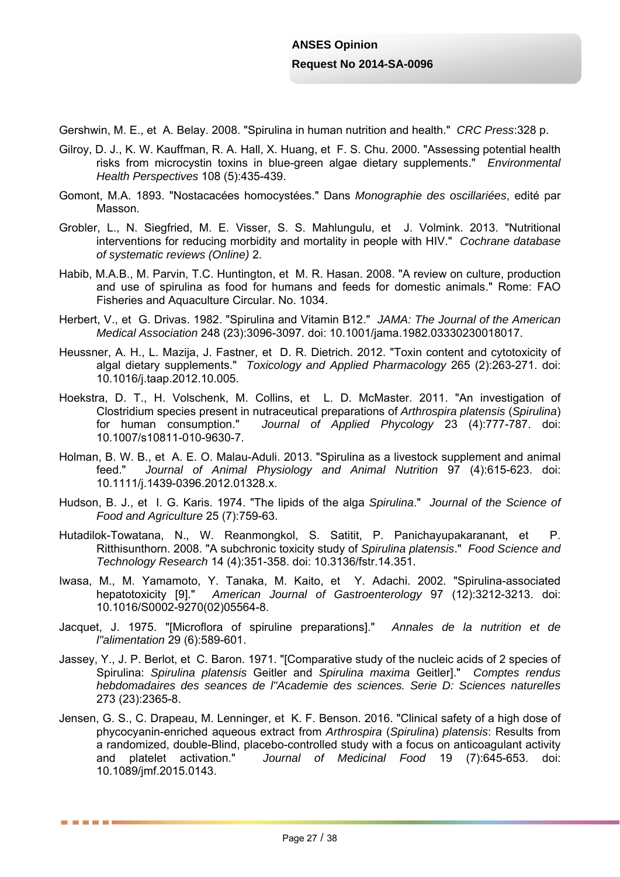Gershwin, M. E., et A. Belay. 2008. "Spirulina in human nutrition and health." *CRC Press*:328 p.

- Gilroy, D. J., K. W. Kauffman, R. A. Hall, X. Huang, et F. S. Chu. 2000. "Assessing potential health risks from microcystin toxins in blue-green algae dietary supplements." *Environmental Health Perspectives* 108 (5):435-439.
- Gomont, M.A. 1893. "Nostacacées homocystées." Dans *Monographie des oscillariées*, edité par Masson.
- Grobler, L., N. Siegfried, M. E. Visser, S. S. Mahlungulu, et J. Volmink. 2013. "Nutritional interventions for reducing morbidity and mortality in people with HIV." *Cochrane database of systematic reviews (Online)* 2.
- Habib, M.A.B., M. Parvin, T.C. Huntington, et M. R. Hasan. 2008. "A review on culture, production and use of spirulina as food for humans and feeds for domestic animals." Rome: FAO Fisheries and Aquaculture Circular. No. 1034.
- Herbert, V., et G. Drivas. 1982. "Spirulina and Vitamin B12." *JAMA: The Journal of the American Medical Association* 248 (23):3096-3097. doi: 10.1001/jama.1982.03330230018017.
- Heussner, A. H., L. Mazija, J. Fastner, et D. R. Dietrich. 2012. "Toxin content and cytotoxicity of algal dietary supplements." *Toxicology and Applied Pharmacology* 265 (2):263-271. doi: 10.1016/j.taap.2012.10.005.
- Hoekstra, D. T., H. Volschenk, M. Collins, et L. D. McMaster. 2011. "An investigation of Clostridium species present in nutraceutical preparations of *Arthrospira platensis* (*Spirulina*) for human consumption." *Journal of Applied Phycology* 23 (4):777-787. doi: 10.1007/s10811-010-9630-7.
- Holman, B. W. B., et A. E. O. Malau-Aduli. 2013. "Spirulina as a livestock supplement and animal feed." *Journal of Animal Physiology and Animal Nutrition* 97 (4):615-623. doi: 10.1111/j.1439-0396.2012.01328.x.
- Hudson, B. J., et I. G. Karis. 1974. "The lipids of the alga *Spirulina*." *Journal of the Science of Food and Agriculture* 25 (7):759-63.
- Hutadilok-Towatana, N., W. Reanmongkol, S. Satitit, P. Panichayupakaranant, et P. Ritthisunthorn. 2008. "A subchronic toxicity study of *Spirulina platensis*." *Food Science and Technology Research* 14 (4):351-358. doi: 10.3136/fstr.14.351.
- Iwasa, M., M. Yamamoto, Y. Tanaka, M. Kaito, et Y. Adachi. 2002. "Spirulina-associated hepatotoxicity [9]." *American Journal of Gastroenterology* 97 (12):3212-3213. doi: 10.1016/S0002-9270(02)05564-8.
- Jacquet, J. 1975. "[Microflora of spiruline preparations]." *Annales de la nutrition et de l"alimentation* 29 (6):589-601.
- Jassey, Y., J. P. Berlot, et C. Baron. 1971. "[Comparative study of the nucleic acids of 2 species of Spirulina: *Spirulina platensis* Geitler and *Spirulina maxima* Geitler]." *Comptes rendus hebdomadaires des seances de l"Academie des sciences. Serie D: Sciences naturelles* 273 (23):2365-8.
- Jensen, G. S., C. Drapeau, M. Lenninger, et K. F. Benson. 2016. "Clinical safety of a high dose of phycocyanin-enriched aqueous extract from *Arthrospira* (*Spirulina*) *platensis*: Results from a randomized, double-Blind, placebo-controlled study with a focus on anticoagulant activity and platelet activation." *Journal of Medicinal Food* 19 (7):645-653. doi: 10.1089/jmf.2015.0143.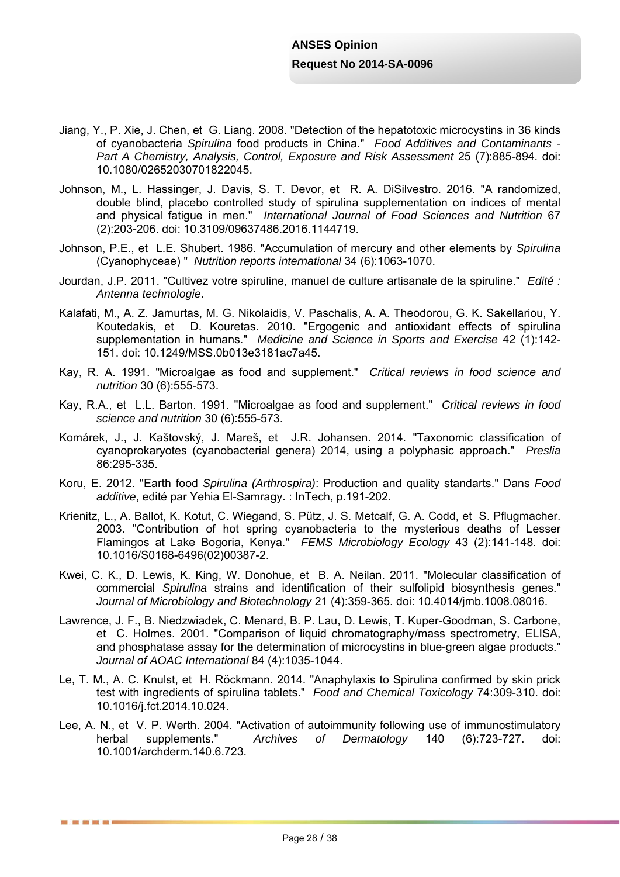- Jiang, Y., P. Xie, J. Chen, et G. Liang. 2008. "Detection of the hepatotoxic microcystins in 36 kinds of cyanobacteria *Spirulina* food products in China." *Food Additives and Contaminants - Part A Chemistry, Analysis, Control, Exposure and Risk Assessment* 25 (7):885-894. doi: 10.1080/02652030701822045.
- Johnson, M., L. Hassinger, J. Davis, S. T. Devor, et R. A. DiSilvestro. 2016. "A randomized, double blind, placebo controlled study of spirulina supplementation on indices of mental and physical fatigue in men." *International Journal of Food Sciences and Nutrition* 67 (2):203-206. doi: 10.3109/09637486.2016.1144719.
- Johnson, P.E., et L.E. Shubert. 1986. "Accumulation of mercury and other elements by *Spirulina*  (Cyanophyceae) " *Nutrition reports international* 34 (6):1063-1070.
- Jourdan, J.P. 2011. "Cultivez votre spiruline, manuel de culture artisanale de la spiruline." *Edité : Antenna technologie*.
- Kalafati, M., A. Z. Jamurtas, M. G. Nikolaidis, V. Paschalis, A. A. Theodorou, G. K. Sakellariou, Y. Koutedakis, et D. Kouretas. 2010. "Ergogenic and antioxidant effects of spirulina supplementation in humans." *Medicine and Science in Sports and Exercise* 42 (1):142- 151. doi: 10.1249/MSS.0b013e3181ac7a45.
- Kay, R. A. 1991. "Microalgae as food and supplement." *Critical reviews in food science and nutrition* 30 (6):555-573.
- Kay, R.A., et L.L. Barton. 1991. "Microalgae as food and supplement." *Critical reviews in food science and nutrition* 30 (6):555-573.
- Komárek, J., J. Kaštovský, J. Mareš, et J.R. Johansen. 2014. "Taxonomic classification of cyanoprokaryotes (cyanobacterial genera) 2014, using a polyphasic approach." *Preslia* 86:295-335.
- Koru, E. 2012. "Earth food *Spirulina (Arthrospira)*: Production and quality standarts." Dans *Food additive*, edité par Yehia El-Samragy. : InTech, p.191-202.
- Krienitz, L., A. Ballot, K. Kotut, C. Wiegand, S. Pütz, J. S. Metcalf, G. A. Codd, et S. Pflugmacher. 2003. "Contribution of hot spring cyanobacteria to the mysterious deaths of Lesser Flamingos at Lake Bogoria, Kenya." *FEMS Microbiology Ecology* 43 (2):141-148. doi: 10.1016/S0168-6496(02)00387-2.
- Kwei, C. K., D. Lewis, K. King, W. Donohue, et B. A. Neilan. 2011. "Molecular classification of commercial *Spirulina* strains and identification of their sulfolipid biosynthesis genes." *Journal of Microbiology and Biotechnology* 21 (4):359-365. doi: 10.4014/jmb.1008.08016.
- Lawrence, J. F., B. Niedzwiadek, C. Menard, B. P. Lau, D. Lewis, T. Kuper-Goodman, S. Carbone, et C. Holmes. 2001. "Comparison of liquid chromatography/mass spectrometry, ELISA, and phosphatase assay for the determination of microcystins in blue-green algae products." *Journal of AOAC International* 84 (4):1035-1044.
- Le, T. M., A. C. Knulst, et H. Röckmann. 2014. "Anaphylaxis to Spirulina confirmed by skin prick test with ingredients of spirulina tablets." *Food and Chemical Toxicology* 74:309-310. doi: 10.1016/j.fct.2014.10.024.
- Lee, A. N., et V. P. Werth. 2004. "Activation of autoimmunity following use of immunostimulatory herbal supplements." *Archives of Dermatology* 140 (6):723-727. doi: 10.1001/archderm.140.6.723.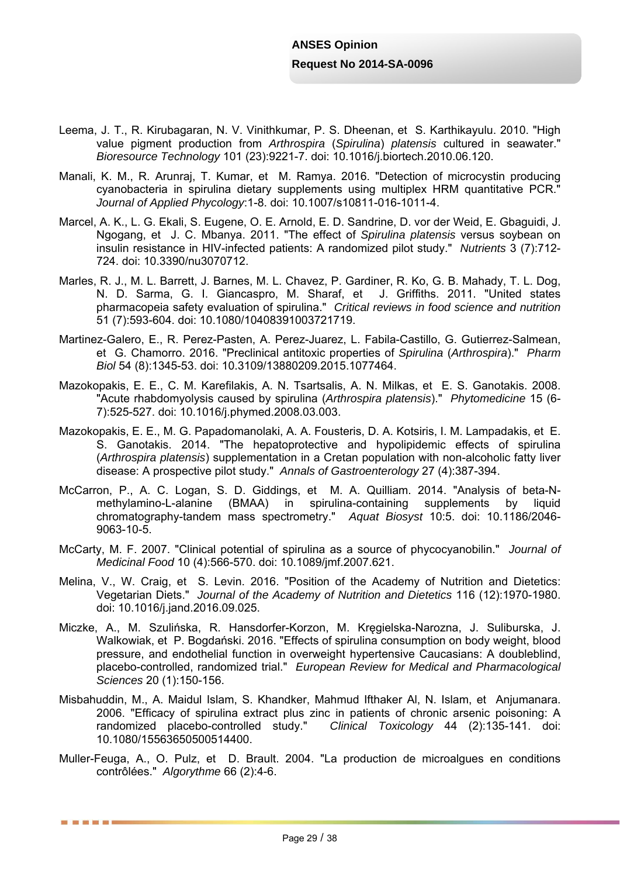- Leema, J. T., R. Kirubagaran, N. V. Vinithkumar, P. S. Dheenan, et S. Karthikayulu. 2010. "High value pigment production from *Arthrospira* (*Spirulina*) *platensis* cultured in seawater." *Bioresource Technology* 101 (23):9221-7. doi: 10.1016/j.biortech.2010.06.120.
- Manali, K. M., R. Arunraj, T. Kumar, et M. Ramya. 2016. "Detection of microcystin producing cyanobacteria in spirulina dietary supplements using multiplex HRM quantitative PCR." *Journal of Applied Phycology*:1-8. doi: 10.1007/s10811-016-1011-4.
- Marcel, A. K., L. G. Ekali, S. Eugene, O. E. Arnold, E. D. Sandrine, D. vor der Weid, E. Gbaguidi, J. Ngogang, et J. C. Mbanya. 2011. "The effect of *Spirulina platensis* versus soybean on insulin resistance in HIV-infected patients: A randomized pilot study." *Nutrients* 3 (7):712- 724. doi: 10.3390/nu3070712.
- Marles, R. J., M. L. Barrett, J. Barnes, M. L. Chavez, P. Gardiner, R. Ko, G. B. Mahady, T. L. Dog, N. D. Sarma, G. I. Giancaspro, M. Sharaf, et J. Griffiths. 2011. "United states pharmacopeia safety evaluation of spirulina." *Critical reviews in food science and nutrition* 51 (7):593-604. doi: 10.1080/10408391003721719.
- Martinez-Galero, E., R. Perez-Pasten, A. Perez-Juarez, L. Fabila-Castillo, G. Gutierrez-Salmean, et G. Chamorro. 2016. "Preclinical antitoxic properties of *Spirulina* (*Arthrospira*)." *Pharm Biol* 54 (8):1345-53. doi: 10.3109/13880209.2015.1077464.
- Mazokopakis, E. E., C. M. Karefilakis, A. N. Tsartsalis, A. N. Milkas, et E. S. Ganotakis. 2008. "Acute rhabdomyolysis caused by spirulina (*Arthrospira platensis*)." *Phytomedicine* 15 (6- 7):525-527. doi: 10.1016/j.phymed.2008.03.003.
- Mazokopakis, E. E., M. G. Papadomanolaki, A. A. Fousteris, D. A. Kotsiris, I. M. Lampadakis, et E. S. Ganotakis. 2014. "The hepatoprotective and hypolipidemic effects of spirulina (*Arthrospira platensis*) supplementation in a Cretan population with non-alcoholic fatty liver disease: A prospective pilot study." *Annals of Gastroenterology* 27 (4):387-394.
- McCarron, P., A. C. Logan, S. D. Giddings, et M. A. Quilliam. 2014. "Analysis of beta-Nmethylamino-L-alanine (BMAA) in spirulina-containing supplements by liquid chromatography-tandem mass spectrometry." *Aquat Biosyst* 10:5. doi: 10.1186/2046- 9063-10-5.
- McCarty, M. F. 2007. "Clinical potential of spirulina as a source of phycocyanobilin." *Journal of Medicinal Food* 10 (4):566-570. doi: 10.1089/jmf.2007.621.
- Melina, V., W. Craig, et S. Levin. 2016. "Position of the Academy of Nutrition and Dietetics: Vegetarian Diets." *Journal of the Academy of Nutrition and Dietetics* 116 (12):1970-1980. doi: 10.1016/j.jand.2016.09.025.
- Miczke, A., M. Szulińska, R. Hansdorfer-Korzon, M. Kręgielska-Narozna, J. Suliburska, J. Walkowiak, et P. Bogdański. 2016. "Effects of spirulina consumption on body weight, blood pressure, and endothelial function in overweight hypertensive Caucasians: A doubleblind, placebo-controlled, randomized trial." *European Review for Medical and Pharmacological Sciences* 20 (1):150-156.
- Misbahuddin, M., A. Maidul Islam, S. Khandker, Mahmud Ifthaker Al, N. Islam, et Anjumanara. 2006. "Efficacy of spirulina extract plus zinc in patients of chronic arsenic poisoning: A randomized placebo-controlled study." *Clinical Toxicology* 44 (2):135-141. doi: 10.1080/15563650500514400.
- Muller-Feuga, A., O. Pulz, et D. Brault. 2004. "La production de microalgues en conditions contrôlées." *Algorythme* 66 (2):4-6.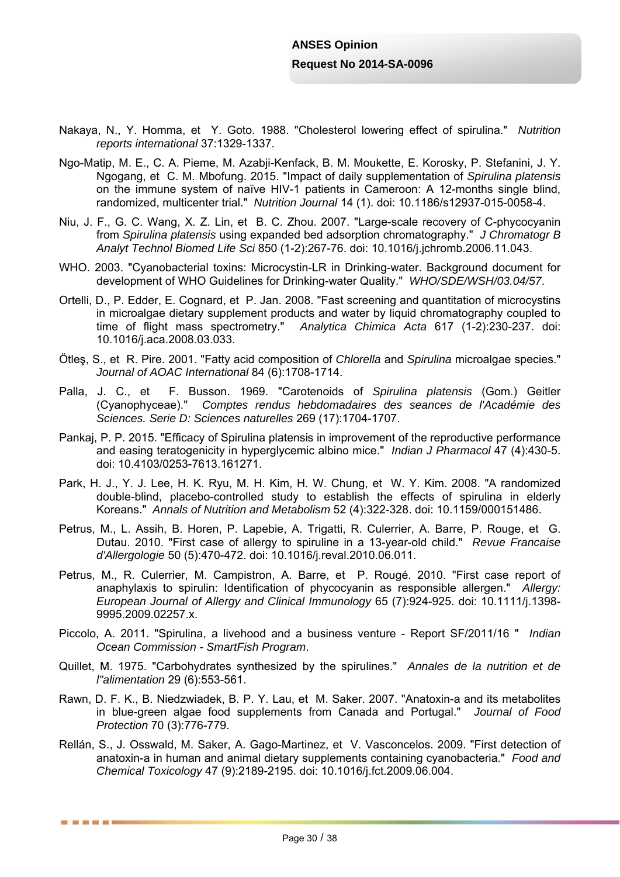- Nakaya, N., Y. Homma, et Y. Goto. 1988. "Cholesterol lowering effect of spirulina." *Nutrition reports international* 37:1329-1337.
- Ngo-Matip, M. E., C. A. Pieme, M. Azabji-Kenfack, B. M. Moukette, E. Korosky, P. Stefanini, J. Y. Ngogang, et C. M. Mbofung. 2015. "Impact of daily supplementation of *Spirulina platensis* on the immune system of naïve HIV-1 patients in Cameroon: A 12-months single blind, randomized, multicenter trial." *Nutrition Journal* 14 (1). doi: 10.1186/s12937-015-0058-4.
- Niu, J. F., G. C. Wang, X. Z. Lin, et B. C. Zhou. 2007. "Large-scale recovery of C-phycocyanin from *Spirulina platensis* using expanded bed adsorption chromatography." *J Chromatogr B Analyt Technol Biomed Life Sci* 850 (1-2):267-76. doi: 10.1016/j.jchromb.2006.11.043.
- WHO. 2003. "Cyanobacterial toxins: Microcystin-LR in Drinking-water. Background document for development of WHO Guidelines for Drinking-water Quality." *WHO/SDE/WSH/03.04/57*.
- Ortelli, D., P. Edder, E. Cognard, et P. Jan. 2008. "Fast screening and quantitation of microcystins in microalgae dietary supplement products and water by liquid chromatography coupled to time of flight mass spectrometry." *Analytica Chimica Acta* 617 (1-2):230-237. doi: 10.1016/j.aca.2008.03.033.
- Ötleş, S., et R. Pire. 2001. "Fatty acid composition of *Chlorella* and *Spirulina* microalgae species." *Journal of AOAC International* 84 (6):1708-1714.
- Palla, J. C., et F. Busson. 1969. "Carotenoids of *Spirulina platensis* (Gom.) Geitler (Cyanophyceae)." *Comptes rendus hebdomadaires des seances de l'Académie des Sciences. Serie D: Sciences naturelles* 269 (17):1704-1707.
- Pankaj, P. P. 2015. "Efficacy of Spirulina platensis in improvement of the reproductive performance and easing teratogenicity in hyperglycemic albino mice." *Indian J Pharmacol* 47 (4):430-5. doi: 10.4103/0253-7613.161271.
- Park, H. J., Y. J. Lee, H. K. Ryu, M. H. Kim, H. W. Chung, et W. Y. Kim. 2008. "A randomized double-blind, placebo-controlled study to establish the effects of spirulina in elderly Koreans." *Annals of Nutrition and Metabolism* 52 (4):322-328. doi: 10.1159/000151486.
- Petrus, M., L. Assih, B. Horen, P. Lapebie, A. Trigatti, R. Culerrier, A. Barre, P. Rouge, et G. Dutau. 2010. "First case of allergy to spiruline in a 13-year-old child." *Revue Francaise d'Allergologie* 50 (5):470-472. doi: 10.1016/j.reval.2010.06.011.
- Petrus, M., R. Culerrier, M. Campistron, A. Barre, et P. Rougé. 2010. "First case report of anaphylaxis to spirulin: Identification of phycocyanin as responsible allergen." *Allergy: European Journal of Allergy and Clinical Immunology* 65 (7):924-925. doi: 10.1111/j.1398- 9995.2009.02257.x.
- Piccolo, A. 2011. "Spirulina, a livehood and a business venture Report SF/2011/16 " *Indian Ocean Commission - SmartFish Program*.
- Quillet, M. 1975. "Carbohydrates synthesized by the spirulines." *Annales de la nutrition et de l"alimentation* 29 (6):553-561.
- Rawn, D. F. K., B. Niedzwiadek, B. P. Y. Lau, et M. Saker. 2007. "Anatoxin-a and its metabolites in blue-green algae food supplements from Canada and Portugal." *Journal of Food Protection* 70 (3):776-779.
- Rellán, S., J. Osswald, M. Saker, A. Gago-Martinez, et V. Vasconcelos. 2009. "First detection of anatoxin-a in human and animal dietary supplements containing cyanobacteria." *Food and Chemical Toxicology* 47 (9):2189-2195. doi: 10.1016/j.fct.2009.06.004.

■ ■ ■ ■ ■ ■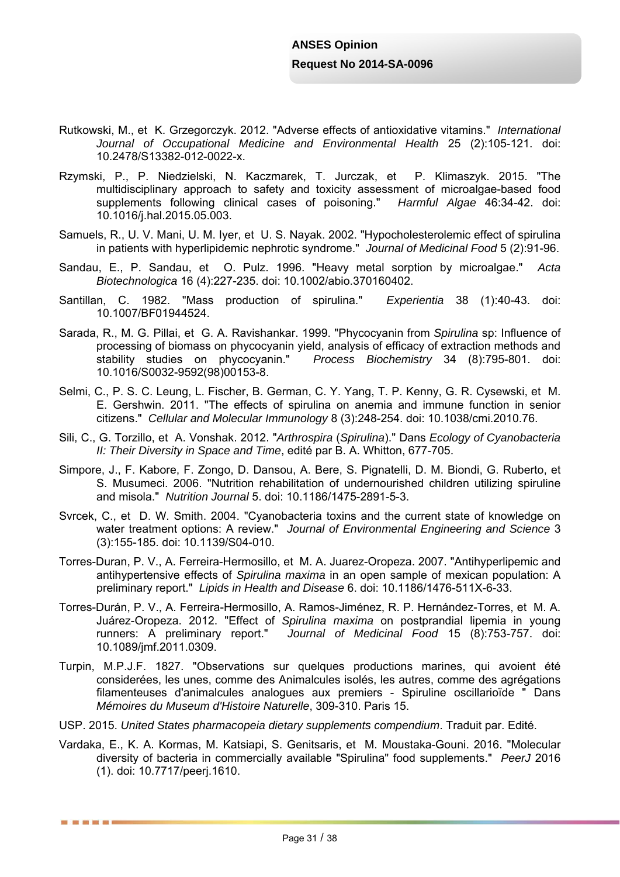- Rutkowski, M., et K. Grzegorczyk. 2012. "Adverse effects of antioxidative vitamins." *International Journal of Occupational Medicine and Environmental Health* 25 (2):105-121. doi: 10.2478/S13382-012-0022-x.
- Rzymski, P., P. Niedzielski, N. Kaczmarek, T. Jurczak, et P. Klimaszyk. 2015. "The multidisciplinary approach to safety and toxicity assessment of microalgae-based food supplements following clinical cases of poisoning." *Harmful Algae* 46:34-42. doi: 10.1016/j.hal.2015.05.003.
- Samuels, R., U. V. Mani, U. M. Iyer, et U. S. Nayak. 2002. "Hypocholesterolemic effect of spirulina in patients with hyperlipidemic nephrotic syndrome." *Journal of Medicinal Food* 5 (2):91-96.
- Sandau, E., P. Sandau, et O. Pulz. 1996. "Heavy metal sorption by microalgae." *Acta Biotechnologica* 16 (4):227-235. doi: 10.1002/abio.370160402.
- Santillan, C. 1982. "Mass production of spirulina." *Experientia* 38 (1):40-43. doi: 10.1007/BF01944524.
- Sarada, R., M. G. Pillai, et G. A. Ravishankar. 1999. "Phycocyanin from *Spirulina* sp: Influence of processing of biomass on phycocyanin yield, analysis of efficacy of extraction methods and stability studies on phycocyanin." *Process Biochemistry* 34 (8):795-801. doi: 10.1016/S0032-9592(98)00153-8.
- Selmi, C., P. S. C. Leung, L. Fischer, B. German, C. Y. Yang, T. P. Kenny, G. R. Cysewski, et M. E. Gershwin. 2011. "The effects of spirulina on anemia and immune function in senior citizens." *Cellular and Molecular Immunology* 8 (3):248-254. doi: 10.1038/cmi.2010.76.
- Sili, C., G. Torzillo, et A. Vonshak. 2012. "*Arthrospira* (*Spirulina*)." Dans *Ecology of Cyanobacteria II: Their Diversity in Space and Time*, edité par B. A. Whitton, 677-705.
- Simpore, J., F. Kabore, F. Zongo, D. Dansou, A. Bere, S. Pignatelli, D. M. Biondi, G. Ruberto, et S. Musumeci. 2006. "Nutrition rehabilitation of undernourished children utilizing spiruline and misola." *Nutrition Journal* 5. doi: 10.1186/1475-2891-5-3.
- Svrcek, C., et D. W. Smith. 2004. "Cyanobacteria toxins and the current state of knowledge on water treatment options: A review." *Journal of Environmental Engineering and Science* 3 (3):155-185. doi: 10.1139/S04-010.
- Torres-Duran, P. V., A. Ferreira-Hermosillo, et M. A. Juarez-Oropeza. 2007. "Antihyperlipemic and antihypertensive effects of *Spirulina maxima* in an open sample of mexican population: A preliminary report." *Lipids in Health and Disease* 6. doi: 10.1186/1476-511X-6-33.
- Torres-Durán, P. V., A. Ferreira-Hermosillo, A. Ramos-Jiménez, R. P. Hernández-Torres, et M. A. Juárez-Oropeza. 2012. "Effect of *Spirulina maxima* on postprandial lipemia in young runners: A preliminary report." *Journal of Medicinal Food* 15 (8):753-757. doi: 10.1089/jmf.2011.0309.
- Turpin, M.P.J.F. 1827. "Observations sur quelques productions marines, qui avoient été considerées, les unes, comme des Animalcules isolés, les autres, comme des agrégations filamenteuses d'animalcules analogues aux premiers - Spiruline oscillarioïde " Dans *Mémoires du Museum d'Histoire Naturelle*, 309-310. Paris 15.
- USP. 2015. *United States pharmacopeia dietary supplements compendium*. Traduit par. Edité.
- Vardaka, E., K. A. Kormas, M. Katsiapi, S. Genitsaris, et M. Moustaka-Gouni. 2016. "Molecular diversity of bacteria in commercially available "Spirulina" food supplements." *PeerJ* 2016 (1). doi: 10.7717/peerj.1610.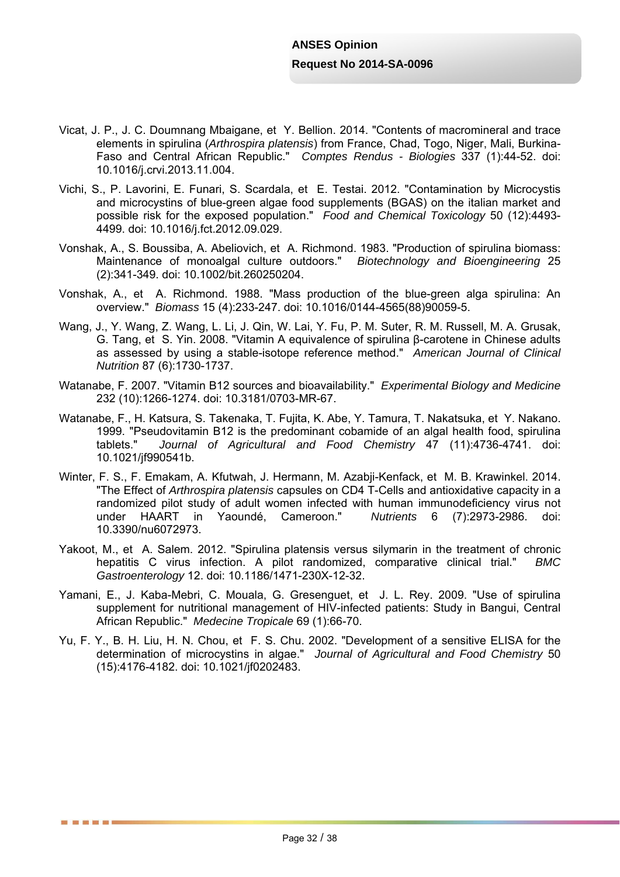- Vicat, J. P., J. C. Doumnang Mbaigane, et Y. Bellion. 2014. "Contents of macromineral and trace elements in spirulina (*Arthrospira platensis*) from France, Chad, Togo, Niger, Mali, Burkina-Faso and Central African Republic." *Comptes Rendus - Biologies* 337 (1):44-52. doi: 10.1016/j.crvi.2013.11.004.
- Vichi, S., P. Lavorini, E. Funari, S. Scardala, et E. Testai. 2012. "Contamination by Microcystis and microcystins of blue-green algae food supplements (BGAS) on the italian market and possible risk for the exposed population." *Food and Chemical Toxicology* 50 (12):4493- 4499. doi: 10.1016/j.fct.2012.09.029.
- Vonshak, A., S. Boussiba, A. Abeliovich, et A. Richmond. 1983. "Production of spirulina biomass: Maintenance of monoalgal culture outdoors." *Biotechnology and Bioengineering* 25 (2):341-349. doi: 10.1002/bit.260250204.
- Vonshak, A., et A. Richmond. 1988. "Mass production of the blue-green alga spirulina: An overview." *Biomass* 15 (4):233-247. doi: 10.1016/0144-4565(88)90059-5.
- Wang, J., Y. Wang, Z. Wang, L. Li, J. Qin, W. Lai, Y. Fu, P. M. Suter, R. M. Russell, M. A. Grusak, G. Tang, et S. Yin. 2008. "Vitamin A equivalence of spirulina β-carotene in Chinese adults as assessed by using a stable-isotope reference method." *American Journal of Clinical Nutrition* 87 (6):1730-1737.
- Watanabe, F. 2007. "Vitamin B12 sources and bioavailability." *Experimental Biology and Medicine* 232 (10):1266-1274. doi: 10.3181/0703-MR-67.
- Watanabe, F., H. Katsura, S. Takenaka, T. Fujita, K. Abe, Y. Tamura, T. Nakatsuka, et Y. Nakano. 1999. "Pseudovitamin B12 is the predominant cobamide of an algal health food, spirulina tablets." *Journal of Agricultural and Food Chemistry* 47 (11):4736-4741. doi: 10.1021/jf990541b.
- Winter, F. S., F. Emakam, A. Kfutwah, J. Hermann, M. Azabji-Kenfack, et M. B. Krawinkel. 2014. "The Effect of *Arthrospira platensis* capsules on CD4 T-Cells and antioxidative capacity in a randomized pilot study of adult women infected with human immunodeficiency virus not under HAART in Yaoundé, Cameroon." *Nutrients* 6 (7):2973-2986. doi: 10.3390/nu6072973.
- Yakoot, M., et A. Salem. 2012. "Spirulina platensis versus silymarin in the treatment of chronic hepatitis C virus infection. A pilot randomized, comparative clinical trial." *BMC Gastroenterology* 12. doi: 10.1186/1471-230X-12-32.
- Yamani, E., J. Kaba-Mebri, C. Mouala, G. Gresenguet, et J. L. Rey. 2009. "Use of spirulina supplement for nutritional management of HIV-infected patients: Study in Bangui, Central African Republic." *Medecine Tropicale* 69 (1):66-70.
- Yu, F. Y., B. H. Liu, H. N. Chou, et F. S. Chu. 2002. "Development of a sensitive ELISA for the determination of microcystins in algae." *Journal of Agricultural and Food Chemistry* 50 (15):4176-4182. doi: 10.1021/jf0202483.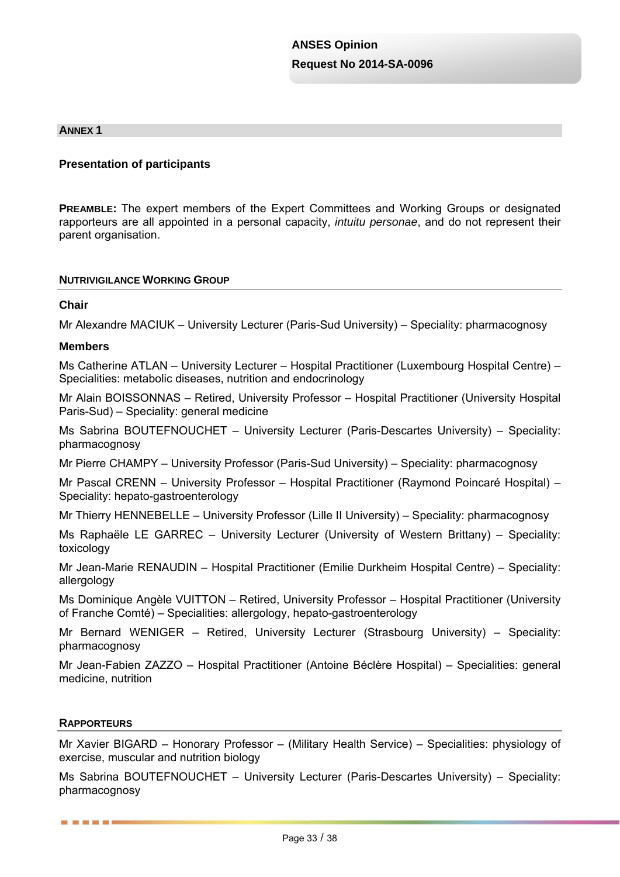#### **ANNEX 1**

#### **Presentation of participants**

**PREAMBLE:** The expert members of the Expert Committees and Working Groups or designated rapporteurs are all appointed in a personal capacity, *intuitu personae*, and do not represent their parent organisation.

#### **NUTRIVIGILANCE WORKING GROUP**

#### **Chair**

Mr Alexandre MACIUK – University Lecturer (Paris-Sud University) – Speciality: pharmacognosy

#### **Members**

Ms Catherine ATLAN – University Lecturer – Hospital Practitioner (Luxembourg Hospital Centre) – Specialities: metabolic diseases, nutrition and endocrinology

Mr Alain BOISSONNAS – Retired, University Professor – Hospital Practitioner (University Hospital Paris-Sud) – Speciality: general medicine

Ms Sabrina BOUTEFNOUCHET – University Lecturer (Paris-Descartes University) – Speciality: pharmacognosy

Mr Pierre CHAMPY – University Professor (Paris-Sud University) – Speciality: pharmacognosy

Mr Pascal CRENN – University Professor – Hospital Practitioner (Raymond Poincaré Hospital) – Speciality: hepato-gastroenterology

Mr Thierry HENNEBELLE – University Professor (Lille II University) – Speciality: pharmacognosy

Ms Raphaële LE GARREC – University Lecturer (University of Western Brittany) – Speciality: toxicology

Mr Jean-Marie RENAUDIN – Hospital Practitioner (Emilie Durkheim Hospital Centre) – Speciality: allergology

Ms Dominique Angèle VUITTON – Retired, University Professor – Hospital Practitioner (University of Franche Comté) – Specialities: allergology, hepato-gastroenterology

Mr Bernard WENIGER – Retired, University Lecturer (Strasbourg University) – Speciality: pharmacognosy

Mr Jean-Fabien ZAZZO – Hospital Practitioner (Antoine Béclère Hospital) – Specialities: general medicine, nutrition

#### **RAPPORTEURS**

------

Mr Xavier BIGARD – Honorary Professor – (Military Health Service) – Specialities: physiology of exercise, muscular and nutrition biology

Ms Sabrina BOUTEFNOUCHET – University Lecturer (Paris-Descartes University) – Speciality: pharmacognosy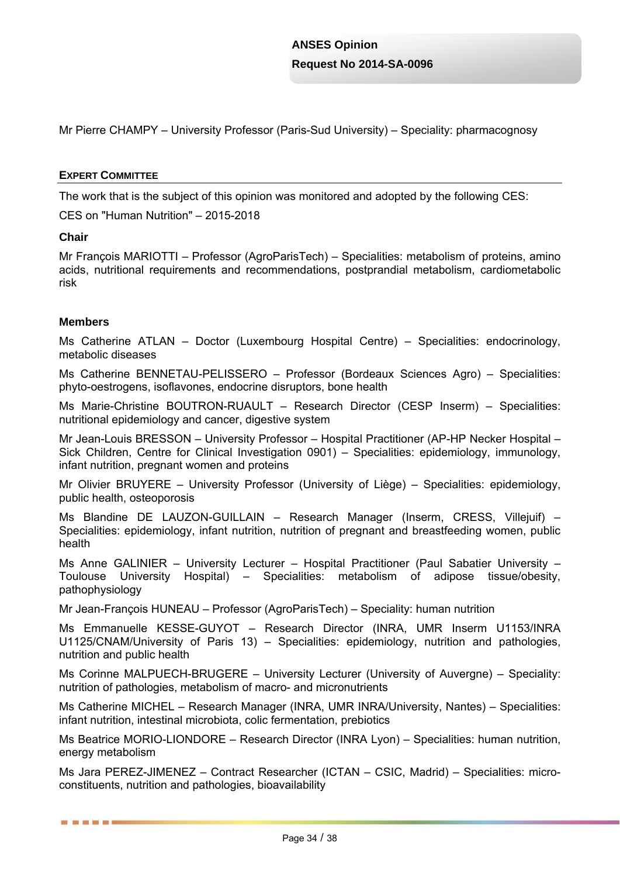Mr Pierre CHAMPY – University Professor (Paris-Sud University) – Speciality: pharmacognosy

#### **EXPERT COMMITTEE**

The work that is the subject of this opinion was monitored and adopted by the following CES:

CES on "Human Nutrition" – 2015-2018

#### **Chair**

Mr François MARIOTTI – Professor (AgroParisTech) – Specialities: metabolism of proteins, amino acids, nutritional requirements and recommendations, postprandial metabolism, cardiometabolic risk

#### **Members**

■ ■ ■ ■ ■ ■

Ms Catherine ATLAN – Doctor (Luxembourg Hospital Centre) – Specialities: endocrinology, metabolic diseases

Ms Catherine BENNETAU-PELISSERO – Professor (Bordeaux Sciences Agro) – Specialities: phyto-oestrogens, isoflavones, endocrine disruptors, bone health

Ms Marie-Christine BOUTRON-RUAULT – Research Director (CESP Inserm) – Specialities: nutritional epidemiology and cancer, digestive system

Mr Jean-Louis BRESSON – University Professor – Hospital Practitioner (AP-HP Necker Hospital – Sick Children, Centre for Clinical Investigation 0901) – Specialities: epidemiology, immunology, infant nutrition, pregnant women and proteins

Mr Olivier BRUYERE – University Professor (University of Liège) – Specialities: epidemiology, public health, osteoporosis

Ms Blandine DE LAUZON-GUILLAIN – Research Manager (Inserm, CRESS, Villejuif) – Specialities: epidemiology, infant nutrition, nutrition of pregnant and breastfeeding women, public health

Ms Anne GALINIER – University Lecturer – Hospital Practitioner (Paul Sabatier University – Toulouse University Hospital) – Specialities: metabolism of adipose tissue/obesity, pathophysiology

Mr Jean-François HUNEAU – Professor (AgroParisTech) – Speciality: human nutrition

Ms Emmanuelle KESSE-GUYOT – Research Director (INRA, UMR Inserm U1153/INRA U1125/CNAM/University of Paris 13) – Specialities: epidemiology, nutrition and pathologies, nutrition and public health

Ms Corinne MALPUECH-BRUGERE – University Lecturer (University of Auvergne) – Speciality: nutrition of pathologies, metabolism of macro- and micronutrients

Ms Catherine MICHEL – Research Manager (INRA, UMR INRA/University, Nantes) – Specialities: infant nutrition, intestinal microbiota, colic fermentation, prebiotics

Ms Beatrice MORIO-LIONDORE – Research Director (INRA Lyon) – Specialities: human nutrition, energy metabolism

Ms Jara PEREZ-JIMENEZ – Contract Researcher (ICTAN – CSIC, Madrid) – Specialities: microconstituents, nutrition and pathologies, bioavailability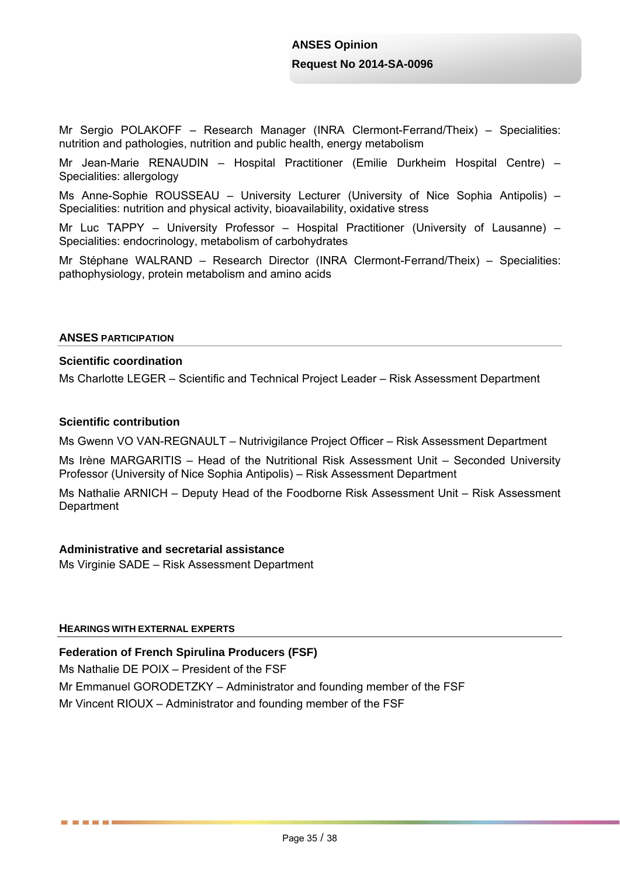Mr Sergio POLAKOFF – Research Manager (INRA Clermont-Ferrand/Theix) – Specialities: nutrition and pathologies, nutrition and public health, energy metabolism

Mr Jean-Marie RENAUDIN – Hospital Practitioner (Emilie Durkheim Hospital Centre) – Specialities: allergology

Ms Anne-Sophie ROUSSEAU – University Lecturer (University of Nice Sophia Antipolis) – Specialities: nutrition and physical activity, bioavailability, oxidative stress

Mr Luc TAPPY – University Professor – Hospital Practitioner (University of Lausanne) – Specialities: endocrinology, metabolism of carbohydrates

Mr Stéphane WALRAND – Research Director (INRA Clermont-Ferrand/Theix) – Specialities: pathophysiology, protein metabolism and amino acids

#### **ANSES PARTICIPATION**

### **Scientific coordination**

Ms Charlotte LEGER – Scientific and Technical Project Leader – Risk Assessment Department

#### **Scientific contribution**

Ms Gwenn VO VAN-REGNAULT – Nutrivigilance Project Officer – Risk Assessment Department

Ms Irène MARGARITIS – Head of the Nutritional Risk Assessment Unit – Seconded University Professor (University of Nice Sophia Antipolis) – Risk Assessment Department

Ms Nathalie ARNICH – Deputy Head of the Foodborne Risk Assessment Unit – Risk Assessment **Department** 

#### **Administrative and secretarial assistance**

Ms Virginie SADE – Risk Assessment Department

#### **HEARINGS WITH EXTERNAL EXPERTS**

------

**Federation of French Spirulina Producers (FSF)** 

Ms Nathalie DE POIX – President of the FSF

Mr Emmanuel GORODETZKY – Administrator and founding member of the FSF

Mr Vincent RIOUX – Administrator and founding member of the FSF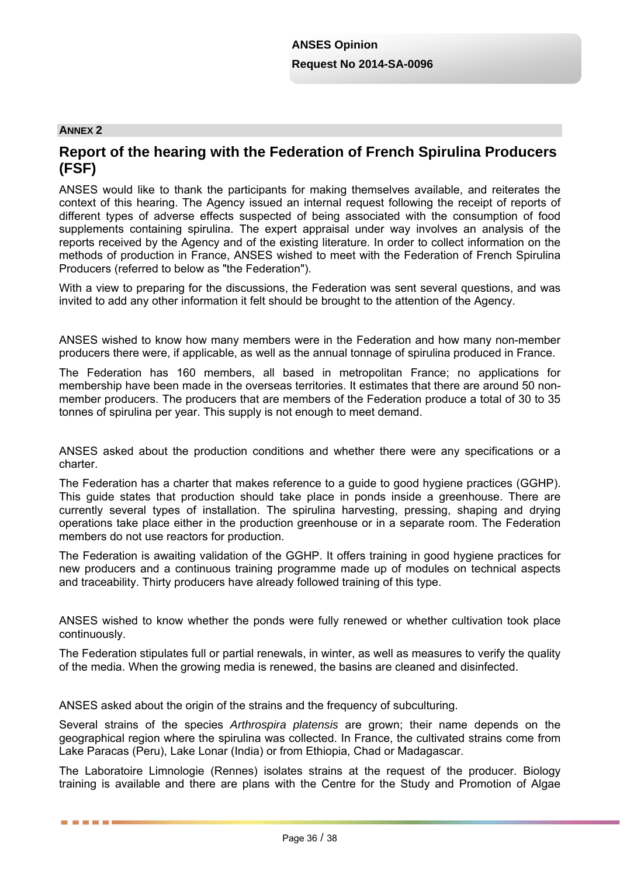#### **ANNEX 2**

■ ■ ■ ■ ■ ■

## **Report of the hearing with the Federation of French Spirulina Producers (FSF)**

ANSES would like to thank the participants for making themselves available, and reiterates the context of this hearing. The Agency issued an internal request following the receipt of reports of different types of adverse effects suspected of being associated with the consumption of food supplements containing spirulina. The expert appraisal under way involves an analysis of the reports received by the Agency and of the existing literature. In order to collect information on the methods of production in France, ANSES wished to meet with the Federation of French Spirulina Producers (referred to below as "the Federation").

With a view to preparing for the discussions, the Federation was sent several questions, and was invited to add any other information it felt should be brought to the attention of the Agency.

ANSES wished to know how many members were in the Federation and how many non-member producers there were, if applicable, as well as the annual tonnage of spirulina produced in France.

The Federation has 160 members, all based in metropolitan France; no applications for membership have been made in the overseas territories. It estimates that there are around 50 nonmember producers. The producers that are members of the Federation produce a total of 30 to 35 tonnes of spirulina per year. This supply is not enough to meet demand.

ANSES asked about the production conditions and whether there were any specifications or a charter.

The Federation has a charter that makes reference to a guide to good hygiene practices (GGHP). This guide states that production should take place in ponds inside a greenhouse. There are currently several types of installation. The spirulina harvesting, pressing, shaping and drying operations take place either in the production greenhouse or in a separate room. The Federation members do not use reactors for production.

The Federation is awaiting validation of the GGHP. It offers training in good hygiene practices for new producers and a continuous training programme made up of modules on technical aspects and traceability. Thirty producers have already followed training of this type.

ANSES wished to know whether the ponds were fully renewed or whether cultivation took place continuously.

The Federation stipulates full or partial renewals, in winter, as well as measures to verify the quality of the media. When the growing media is renewed, the basins are cleaned and disinfected.

ANSES asked about the origin of the strains and the frequency of subculturing.

Several strains of the species *Arthrospira platensis* are grown; their name depends on the geographical region where the spirulina was collected. In France, the cultivated strains come from Lake Paracas (Peru), Lake Lonar (India) or from Ethiopia, Chad or Madagascar.

The Laboratoire Limnologie (Rennes) isolates strains at the request of the producer. Biology training is available and there are plans with the Centre for the Study and Promotion of Algae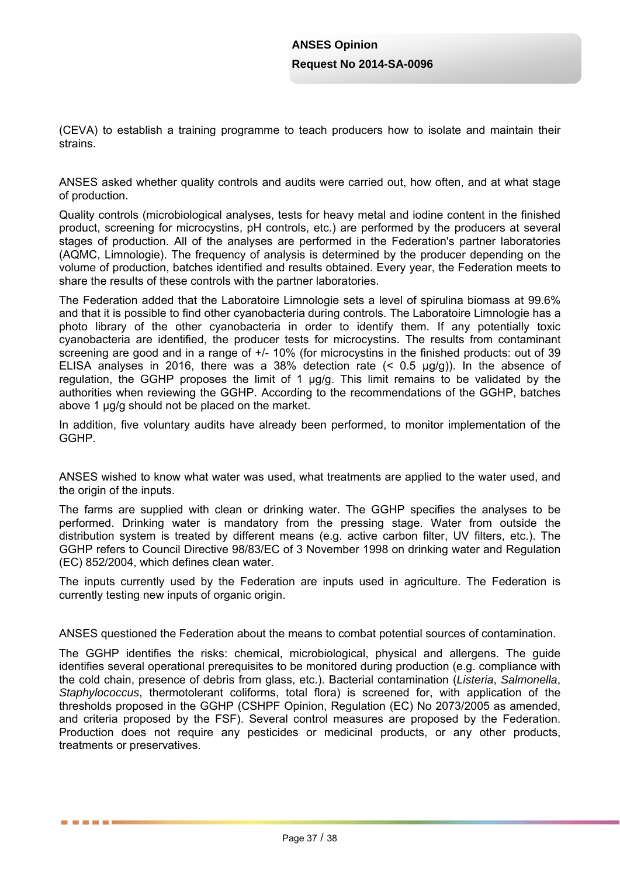(CEVA) to establish a training programme to teach producers how to isolate and maintain their strains.

ANSES asked whether quality controls and audits were carried out, how often, and at what stage of production.

Quality controls (microbiological analyses, tests for heavy metal and iodine content in the finished product, screening for microcystins, pH controls, etc.) are performed by the producers at several stages of production. All of the analyses are performed in the Federation's partner laboratories (AQMC, Limnologie). The frequency of analysis is determined by the producer depending on the volume of production, batches identified and results obtained. Every year, the Federation meets to share the results of these controls with the partner laboratories.

The Federation added that the Laboratoire Limnologie sets a level of spirulina biomass at 99.6% and that it is possible to find other cyanobacteria during controls. The Laboratoire Limnologie has a photo library of the other cyanobacteria in order to identify them. If any potentially toxic cyanobacteria are identified, the producer tests for microcystins. The results from contaminant screening are good and in a range of +/- 10% (for microcystins in the finished products: out of 39 ELISA analyses in 2016, there was a 38% detection rate  $($   $<$  0.5  $\mu$ g/g)). In the absence of regulation, the GGHP proposes the limit of 1 µg/g. This limit remains to be validated by the authorities when reviewing the GGHP. According to the recommendations of the GGHP, batches above 1 ug/g should not be placed on the market.

In addition, five voluntary audits have already been performed, to monitor implementation of the GGHP.

ANSES wished to know what water was used, what treatments are applied to the water used, and the origin of the inputs.

The farms are supplied with clean or drinking water. The GGHP specifies the analyses to be performed. Drinking water is mandatory from the pressing stage. Water from outside the distribution system is treated by different means (e.g. active carbon filter, UV filters, etc.). The GGHP refers to Council Directive 98/83/EC of 3 November 1998 on drinking water and Regulation (EC) 852/2004, which defines clean water.

The inputs currently used by the Federation are inputs used in agriculture. The Federation is currently testing new inputs of organic origin.

ANSES questioned the Federation about the means to combat potential sources of contamination.

The GGHP identifies the risks: chemical, microbiological, physical and allergens. The guide identifies several operational prerequisites to be monitored during production (e.g. compliance with the cold chain, presence of debris from glass, etc.). Bacterial contamination (*Listeria*, *Salmonella*, *Staphylococcus*, thermotolerant coliforms, total flora) is screened for, with application of the thresholds proposed in the GGHP (CSHPF Opinion, Regulation (EC) No 2073/2005 as amended, and criteria proposed by the FSF). Several control measures are proposed by the Federation. Production does not require any pesticides or medicinal products, or any other products, treatments or preservatives.